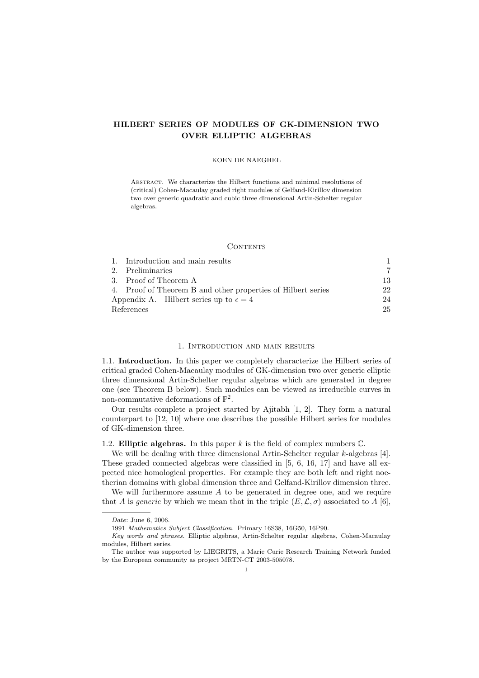#### KOEN DE NAEGHEL

ABSTRACT. We characterize the Hilbert functions and minimal resolutions of (critical) Cohen-Macaulay graded right modules of Gelfand-Kirillov dimension two over generic quadratic and cubic three dimensional Artin-Schelter regular algebras.

#### **CONTENTS**

|                                                 | 1. Introduction and main results                             |    |
|-------------------------------------------------|--------------------------------------------------------------|----|
|                                                 | 2. Preliminaries                                             |    |
|                                                 | 3. Proof of Theorem A                                        | 13 |
|                                                 | 4. Proof of Theorem B and other properties of Hilbert series | 22 |
| Appendix A. Hilbert series up to $\epsilon = 4$ |                                                              | 24 |
| References                                      |                                                              | 25 |

# 1. Introduction and main results

1.1. Introduction. In this paper we completely characterize the Hilbert series of critical graded Cohen-Macaulay modules of GK-dimension two over generic elliptic three dimensional Artin-Schelter regular algebras which are generated in degree one (see Theorem B below). Such modules can be viewed as irreducible curves in non-commutative deformations of  $\mathbb{P}^2$ .

Our results complete a project started by Ajitabh [1, 2]. They form a natural counterpart to [12, 10] where one describes the possible Hilbert series for modules of GK-dimension three.

# 1.2. **Elliptic algebras.** In this paper  $k$  is the field of complex numbers  $\mathbb{C}$ .

We will be dealing with three dimensional Artin-Schelter regular k-algebras [4]. These graded connected algebras were classified in [5, 6, 16, 17] and have all expected nice homological properties. For example they are both left and right noetherian domains with global dimension three and Gelfand-Kirillov dimension three.

We will furthermore assume  $A$  to be generated in degree one, and we require that A is generic by which we mean that in the triple  $(E, \mathcal{L}, \sigma)$  associated to A [6],

Date: June 6, 2006.

<sup>1991</sup> Mathematics Subject Classification. Primary 16S38, 16G50, 16P90.

Key words and phrases. Elliptic algebras, Artin-Schelter regular algebras, Cohen-Macaulay modules, Hilbert series.

The author was supported by LIEGRITS, a Marie Curie Research Training Network funded by the European community as project MRTN-CT 2003-505078.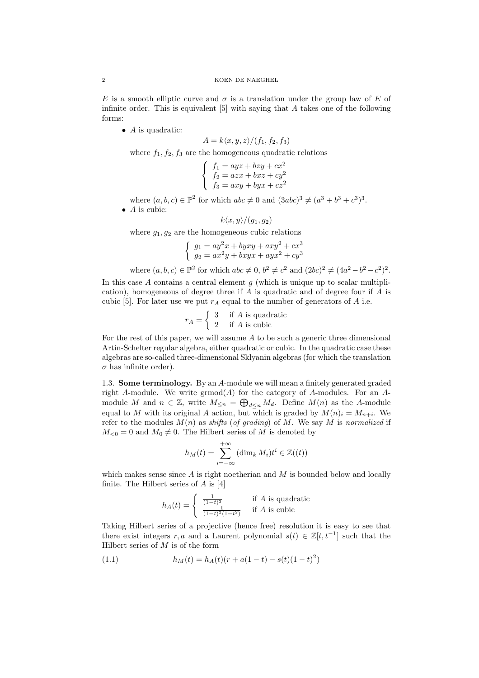E is a smooth elliptic curve and  $\sigma$  is a translation under the group law of E of infinite order. This is equivalent  $[5]$  with saying that A takes one of the following forms:

 $\bullet$  *A* is quadratic:

$$
A = k \langle x, y, z \rangle / (f_1, f_2, f_3)
$$

where  $f_1, f_2, f_3$  are the homogeneous quadratic relations

$$
\begin{cases}\nf_1 = ayz + bzy + cx^2 \\
f_2 = azx + bxz + cy^2 \\
f_3 = axy + byx + cz^2\n\end{cases}
$$

where  $(a, b, c) \in \mathbb{P}^2$  for which  $abc \neq 0$  and  $(3abc)^3 \neq (a^3 + b^3 + c^3)^3$ .  $\bullet$  *A* is cubic:

$$
k\langle x,y\rangle/(g_1,g_2)
$$

where  $g_1, g_2$  are the homogeneous cubic relations

$$
\begin{cases}\n g_1 = ay^2x + byxy + axy^2 + cx^3 \\
 g_2 = ax^2y + bxyx + ayx^2 + cy^3\n\end{cases}
$$

where  $(a, b, c) \in \mathbb{P}^2$  for which  $abc \neq 0$ ,  $b^2 \neq c^2$  and  $(2bc)^2 \neq (4a^2 - b^2 - c^2)^2$ .

In this case A contains a central element  $q$  (which is unique up to scalar multiplication), homogeneous of degree three if A is quadratic and of degree four if A is cubic [5]. For later use we put  $r_A$  equal to the number of generators of A i.e.

$$
r_A = \begin{cases} 3 & \text{if } A \text{ is quadratic} \\ 2 & \text{if } A \text{ is cubic} \end{cases}
$$

For the rest of this paper, we will assume  $A$  to be such a generic three dimensional Artin-Schelter regular algebra, either quadratic or cubic. In the quadratic case these algebras are so-called three-dimensional Sklyanin algebras (for which the translation  $\sigma$  has infinite order).

1.3. Some terminology. By an A-module we will mean a finitely generated graded right A-module. We write  $\mathrm{grmod}(A)$  for the category of A-modules. For an Amodule M and  $n \in \mathbb{Z}$ , write  $M_{\leq n} = \bigoplus_{d \leq n} M_d$ . Define  $M(n)$  as the A-module equal to M with its original A action, but which is graded by  $M(n)_{i} = M_{n+i}$ . We refer to the modules  $M(n)$  as shifts (of grading) of M. We say M is normalized if  $M_{\leq 0} = 0$  and  $M_0 \neq 0$ . The Hilbert series of M is denoted by

$$
h_M(t) = \sum_{i=-\infty}^{+\infty} (\dim_k M_i) t^i \in \mathbb{Z}((t))
$$

which makes sense since  $\vec{A}$  is right noetherian and  $\vec{M}$  is bounded below and locally finite. The Hilbert series of  $A$  is [4]

$$
h_A(t) = \begin{cases} \frac{1}{(1-t)^3} & \text{if } A \text{ is quadratic} \\ \frac{1}{(1-t)^2(1-t^2)} & \text{if } A \text{ is cubic} \end{cases}
$$

Taking Hilbert series of a projective (hence free) resolution it is easy to see that there exist integers r, a and a Laurent polynomial  $s(t) \in \mathbb{Z}[t, t^{-1}]$  such that the Hilbert series of  $M$  is of the form

(1.1) 
$$
h_M(t) = h_A(t)(r + a(1-t) - s(t)(1-t)^2)
$$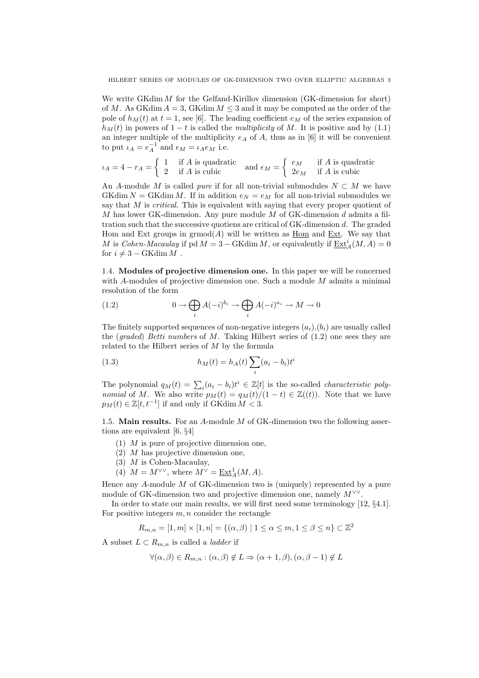We write GKdim M for the Gelfand-Kirillov dimension (GK-dimension for short) of M. As GKdim  $A = 3$ , GKdim  $M \leq 3$  and it may be computed as the order of the pole of  $h_M(t)$  at  $t = 1$ , see [6]. The leading coefficient  $e_M$  of the series expansion of  $h<sub>M</sub>(t)$  in powers of 1 − t is called the multiplicity of M. It is positive and by (1.1) an integer multiple of the multiplicity  $e_A$  of A, thus as in [6] it will be convenient to put  $\iota_A = e_A^{-1}$  and  $\epsilon_M = \iota_A e_M$  i.e.

$$
\iota_A = 4 - r_A = \begin{cases} 1 & \text{if } A \text{ is quadratic} \\ 2 & \text{if } A \text{ is cubic} \end{cases} \text{ and } \epsilon_M = \begin{cases} e_M & \text{if } A \text{ is quadratic} \\ 2e_M & \text{if } A \text{ is cubic} \end{cases}
$$

An A-module M is called *pure* if for all non-trivial submodules  $N \subset M$  we have GKdim  $N = GK \dim M$ . If in addition  $e_N = e_M$  for all non-trivial submodules we say that  $M$  is *critical*. This is equivalent with saying that every proper quotient of M has lower GK-dimension. Any pure module  $M$  of GK-dimension  $d$  admits a filtration such that the successive quotiens are critical of GK-dimension d. The graded Hom and Ext groups in  $\mathrm{grmod}(A)$  will be written as  $\underline{\mathrm{Hom}}$  and  $\underline{\mathrm{Ext}}$ . We say that M is Cohen-Macaulay if  $pd M = 3 - GKdim M$ , or equivalently if  $\underline{\operatorname{Ext}}^i_A(M, A) = 0$ for  $i \neq 3 - \text{GKdim } M$ .

1.4. Modules of projective dimension one. In this paper we will be concerned with  $A$ -modules of projective dimension one. Such a module  $M$  admits a minimal resolution of the form

(1.2) 
$$
0 \to \bigoplus_i A(-i)^{b_i} \to \bigoplus_i A(-i)^{a_i} \to M \to 0
$$

The finitely supported sequences of non-negative integers  $(a_i), (b_i)$  are usually called the (graded) Betti numbers of M. Taking Hilbert series of  $(1.2)$  one sees they are related to the Hilbert series of  $M$  by the formula

(1.3) 
$$
h_M(t) = h_A(t) \sum_i (a_i - b_i) t^i
$$

The polynomial  $q_M(t) = \sum_i (a_i - b_i)t^i \in \mathbb{Z}[t]$  is the so-called *characteristic polynomial* of M. We also write  $p_M(t) = q_M(t)/(1-t) \in \mathbb{Z}((t))$ . Note that we have  $p_M(t) \in \mathbb{Z}[t, t^{-1}]$  if and only if GKdim  $M < 3$ .

1.5. Main results. For an  $A$ -module  $M$  of GK-dimension two the following assertions are equivalent [6, §4]

- (1) M is pure of projective dimension one,
- $(2)$  *M* has projective dimension one,
- (3) M is Cohen-Macaulay,
- (4)  $M = M^{\vee \vee}$ , where  $M^{\vee} = \underline{\operatorname{Ext}}^1_A(M, A)$ .

Hence any  $A$ -module  $M$  of GK-dimension two is (uniquely) represented by a pure module of GK-dimension two and projective dimension one, namely  $M^{\vee\vee}$ .

In order to state our main results, we will first need some terminology [12, §4.1]. For positive integers  $m, n$  consider the rectangle

$$
R_{m,n} = [1, m] \times [1, n] = \{ (\alpha, \beta) \mid 1 \le \alpha \le m, 1 \le \beta \le n \} \subset \mathbb{Z}^2
$$

A subset  $L \subset R_{m,n}$  is called a *ladder* if

$$
\forall (\alpha, \beta) \in R_{m,n} : (\alpha, \beta) \notin L \Rightarrow (\alpha + 1, \beta), (\alpha, \beta - 1) \notin L
$$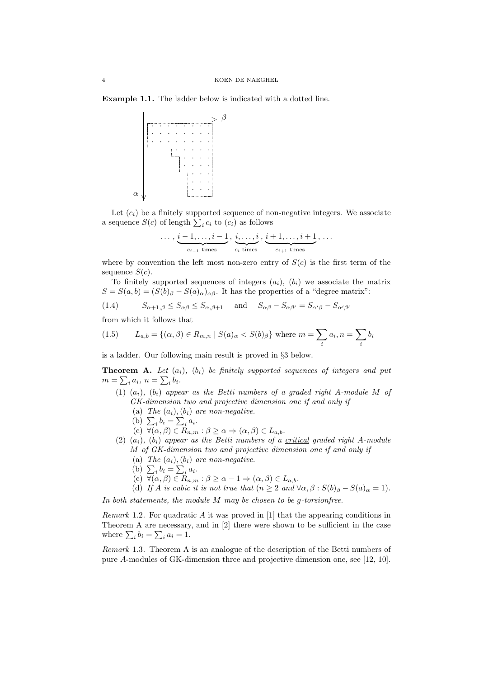Example 1.1. The ladder below is indicated with a dotted line.



Let  $(c_i)$  be a finitely supported sequence of non-negative integers. We associate a sequence  $S(c)$  of length  $\sum_i c_i$  to  $(c_i)$  as follows

$$
\ldots, \underbrace{i-1,\ldots,i-1}_{c_{i-1} \text{ times}}, \underbrace{i,\ldots,i}_{c_i \text{ times}}, \underbrace{i+1,\ldots,i+1}_{c_{i+1} \text{ times}}, \ldots
$$

where by convention the left most non-zero entry of  $S(c)$  is the first term of the sequence  $S(c)$ .

To finitely supported sequences of integers  $(a_i)$ ,  $(b_i)$  we associate the matrix  $S = S(a, b) = (S(b)_{\beta} - S(a)_{\alpha})_{\alpha\beta}$ . It has the properties of a "degree matrix":

(1.4) 
$$
S_{\alpha+1,\beta} \leq S_{\alpha\beta} \leq S_{\alpha,\beta+1} \quad \text{and} \quad S_{\alpha\beta} - S_{\alpha\beta'} = S_{\alpha'\beta} - S_{\alpha'\beta'}
$$

from which it follows that

(1.5) 
$$
L_{a,b} = \{ (\alpha, \beta) \in R_{m,n} \mid S(a)_{\alpha} < S(b)_{\beta} \} \text{ where } m = \sum_{i} a_i, n = \sum_{i} b_i
$$

is a ladder. Our following main result is proved in §3 below.

**Theorem A.** Let  $(a_i)$ ,  $(b_i)$  be finitely supported sequences of integers and put  $m = \sum_i a_i, n = \sum_i b_i.$ 

- (1)  $(a_i)$ ,  $(b_i)$  appear as the Betti numbers of a graded right A-module M of GK-dimension two and projective dimension one if and only if
	- (a) The  $(a_i)$ ,  $(b_i)$  are non-negative.
	- (b)  $\sum_i b_i = \sum_i a_i$ .
	- (c)  $\forall (\alpha, \beta) \in R_{n,m} : \beta \geq \alpha \Rightarrow (\alpha, \beta) \in L_{a,b}.$
- (2)  $(a_i)$ ,  $(b_i)$  appear as the Betti numbers of a critical graded right A-module M of GK-dimension two and projective dimension one if and only if
	- (a) The  $(a_i)$ ,  $(b_i)$  are non-negative.
	- (b)  $\sum_i b_i = \sum_i a_i$ .
	- (c)  $\forall (\alpha, \beta) \in R_{n,m} : \beta \geq \alpha 1 \Rightarrow (\alpha, \beta) \in L_{a,b}.$
	- (d) If A is cubic it is not true that  $(n \geq 2 \text{ and } \forall \alpha, \beta : S(b)_{\beta} S(a)_{\alpha} = 1)$ .

In both statements, the module M may be chosen to be g-torsionfree.

Remark 1.2. For quadratic  $A$  it was proved in [1] that the appearing conditions in Theorem A are necessary, and in [2] there were shown to be sufficient in the case where  $\sum_i b_i = \sum_i a_i = 1$ .

Remark 1.3. Theorem A is an analogue of the description of the Betti numbers of pure A-modules of GK-dimension three and projective dimension one, see [12, 10].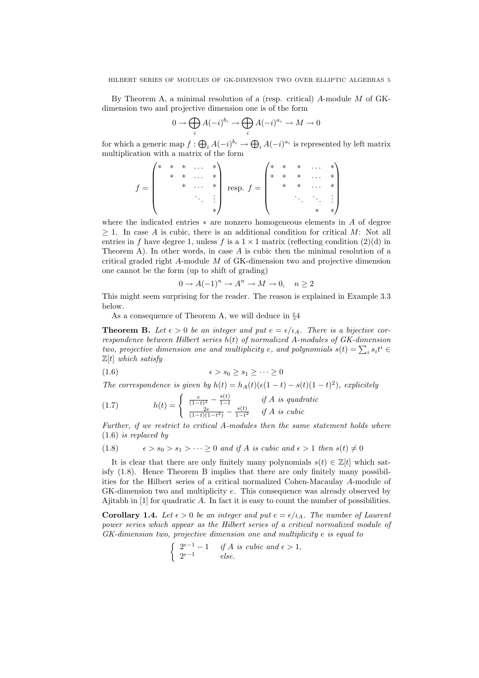By Theorem A, a minimal resolution of a (resp. critical)  $A$ -module M of GKdimension two and projective dimension one is of the form

$$
0\to \bigoplus_iA(-i)^{b_i}\to \bigoplus_iA(-i)^{a_i}\to M\to 0
$$

for which a generic map  $f: \bigoplus_i A(-i)^{b_i} \to \bigoplus_i A(-i)^{a_i}$  is represented by left matrix multiplication with a matrix of the form

$$
f = \begin{pmatrix} * & * & * & \dots & * \\ & * & * & \dots & * \\ & & * & \dots & * \\ & & & & \vdots \end{pmatrix} \text{ resp. } f = \begin{pmatrix} * & * & * & \dots & * \\ * & * & * & \dots & * \\ & * & * & \dots & * \\ & & & & \ddots & \vdots \\ & & & & & * \end{pmatrix}
$$

where the indicated entries  $*$  are nonzero homogeneous elements in A of degree  $\geq 1$ . In case A is cubic, there is an additional condition for critical M: Not all entries in f have degree 1, unless f is a  $1 \times 1$  matrix (reflecting condition (2)(d) in Theorem A). In other words, in case  $A$  is cubic then the minimal resolution of a critical graded right A-module M of GK-dimension two and projective dimension one cannot be the form (up to shift of grading)

$$
0 \to A(-1)^n \to A^n \to M \to 0, \quad n \ge 2
$$

This might seem surprising for the reader. The reason is explained in Example 3.3 below.

As a consequence of Theorem A, we will deduce in §4

**Theorem B.** Let  $\epsilon > 0$  be an integer and put  $e = \epsilon/\iota_A$ . There is a bijective correspondence between Hilbert series  $h(t)$  of normalized A-modules of GK-dimension two, projective dimension one and multiplicity e, and polynomials  $s(t) = \sum_i s_i t^i$  $\mathbb{Z}[t]$  which satisfy

$$
(1.6) \qquad \qquad \epsilon > s_0 \ge s_1 \ge \cdots \ge 0
$$

The correspondence is given by  $h(t) = h_A(t)(\epsilon(1-t) - s(t)(1-t)^2)$ , explicitely

(1.7) 
$$
h(t) = \begin{cases} \frac{e}{(1-t)^2} - \frac{s(t)}{1-t} & \text{if } A \text{ is quadratic} \\ \frac{2e}{(1-t)(1-t^2)} - \frac{s(t)}{1-t^2} & \text{if } A \text{ is cubic} \end{cases}
$$

Further, if we restrict to critical A-modules then the same statement holds where (1.6) is replaced by

(1.8)  $\epsilon > s_0 > s_1 > \cdots > 0$  and if A is cubic and  $\epsilon > 1$  then  $s(t) \neq 0$ 

It is clear that there are only finitely many polynomials  $s(t) \in \mathbb{Z}[t]$  which satisfy (1.8). Hence Theorem B implies that there are only finitely many possibilities for the Hilbert series of a critical normalized Cohen-Macaulay A-module of GK-dimension two and multiplicity e. This consequence was already observed by Ajitabh in [1] for quadratic A. In fact it is easy to count the number of possibilities.

**Corollary 1.4.** Let  $\epsilon > 0$  be an integer and put  $e = \epsilon/\iota_A$ . The number of Laurent power series which appear as the Hilbert series of a critical normalized module of GK-dimension two, projective dimension one and multiplicity e is equal to

$$
\begin{cases} 2^{\epsilon-1} - 1 & \text{if } A \text{ is cubic and } \epsilon > 1, \\ 2^{\epsilon-1} & \text{else.} \end{cases}
$$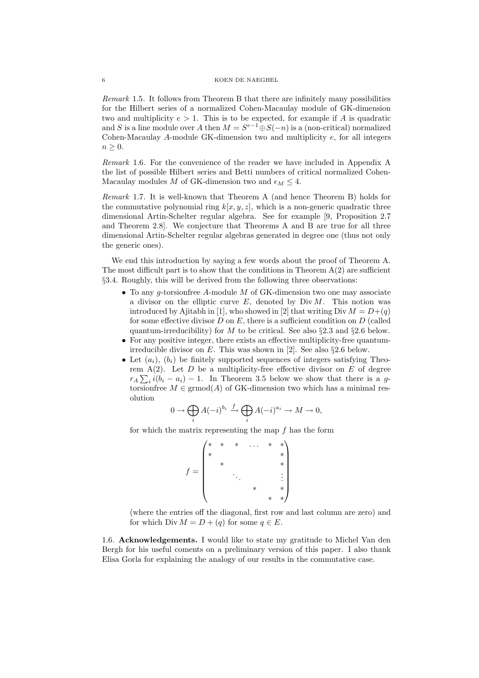Remark 1.5. It follows from Theorem B that there are infinitely many possibilities for the Hilbert series of a normalized Cohen-Macaulay module of GK-dimension two and multiplicity  $e > 1$ . This is to be expected, for example if A is quadratic and S is a line module over A then  $M = S^{e-1} \oplus S(-n)$  is a (non-critical) normalized Cohen-Macaulay A-module GK-dimension two and multiplicity e, for all integers  $n \geq 0$ .

Remark 1.6. For the convenience of the reader we have included in Appendix A the list of possible Hilbert series and Betti numbers of critical normalized Cohen-Macaulay modules M of GK-dimension two and  $\epsilon_M \leq 4$ .

Remark 1.7. It is well-known that Theorem A (and hence Theorem B) holds for the commutative polynomial ring  $k[x, y, z]$ , which is a non-generic quadratic three dimensional Artin-Schelter regular algebra. See for example [9, Proposition 2.7 and Theorem 2.8]. We conjecture that Theorems A and B are true for all three dimensional Artin-Schelter regular algebras generated in degree one (thus not only the generic ones).

We end this introduction by saying a few words about the proof of Theorem A. The most difficult part is to show that the conditions in Theorem  $A(2)$  are sufficient §3.4. Roughly, this will be derived from the following three observations:

- To any g-torsion free A-module  $M$  of GK-dimension two one may associate a divisor on the elliptic curve  $E$ , denoted by Div  $M$ . This notion was introduced by Ajitabh in [1], who showed in [2] that writing Div  $M = D+(q)$ for some effective divisor  $D$  on  $E$ , there is a sufficient condition on  $D$  (called quantum-irreducibility) for M to be critical. See also  $\S 2.3$  and  $\S 2.6$  below.
- For any positive integer, there exists an effective multiplicity-free quantumirreducible divisor on E. This was shown in [2]. See also  $\S 2.6$  below.
- Let  $(a_i)$ ,  $(b_i)$  be finitely supported sequences of integers satisfying Theorem  $A(2)$ . Let D be a multiplicity-free effective divisor on E of degree  $r_A \sum_i i(b_i - a_i) - 1$ . In Theorem 3.5 below we show that there is a gtorsionfree  $M \in \mathrm{grmod}(A)$  of GK-dimension two which has a minimal resolution

$$
0 \to \bigoplus_i A(-i)^{b_i} \xrightarrow{f} \bigoplus_i A(-i)^{a_i} \to M \to 0,
$$

for which the matrix representing the map  $f$  has the form

 $f =$  $(* * * ... * * * )$  $\overline{\phantom{a}}$ ∗ ∗ ∗ ∗ . . . . . . ∗ ∗ ∗ ∗  $\setminus$  $\overline{\phantom{a}}$ 

(where the entries off the diagonal, first row and last column are zero) and for which Div  $M = D + (q)$  for some  $q \in E$ .

1.6. Acknowledgements. I would like to state my gratitude to Michel Van den Bergh for his useful coments on a preliminary version of this paper. I also thank Elisa Gorla for explaining the analogy of our results in the commutative case.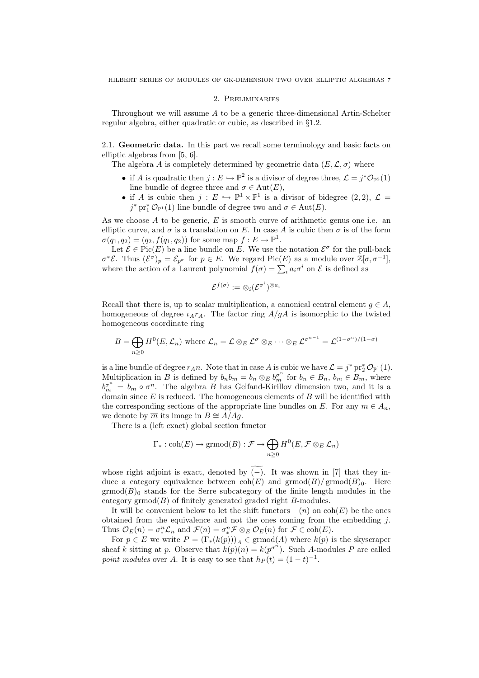#### 2. Preliminaries

Throughout we will assume A to be a generic three-dimensional Artin-Schelter regular algebra, either quadratic or cubic, as described in §1.2.

2.1. Geometric data. In this part we recall some terminology and basic facts on elliptic algebras from [5, 6].

The algebra A is completely determined by geometric data  $(E, \mathcal{L}, \sigma)$  where

- if A is quadratic then  $j: E \hookrightarrow \mathbb{P}^2$  is a divisor of degree three,  $\mathcal{L} = j^* \mathcal{O}_{\mathbb{P}^2}(1)$ line bundle of degree three and  $\sigma \in \text{Aut}(E)$ ,
- if A is cubic then  $j: E \hookrightarrow \mathbb{P}^1 \times \mathbb{P}^1$  is a divisor of bidegree  $(2, 2)$ ,  $\mathcal{L} =$  $j^*$  pr<sup>\*</sup><sub>1</sub> $\mathcal{O}_{\mathbb{P}^1}(1)$  line bundle of degree two and  $\sigma \in \text{Aut}(E)$ .

As we choose  $A$  to be generic,  $E$  is smooth curve of arithmetic genus one i.e. an elliptic curve, and  $\sigma$  is a translation on E. In case A is cubic then  $\sigma$  is of the form  $\sigma(q_1, q_2) = (q_2, f(q_1, q_2))$  for some map  $f: E \to \mathbb{P}^1$ .

Let  $\mathcal{E} \in \text{Pic}(E)$  be a line bundle on E. We use the notation  $\mathcal{E}^{\sigma}$  for the pull-back  $\sigma^*{\mathcal{E}}$ . Thus  $({\mathcal{E}}^{\sigma})_p = {\mathcal{E}}_{p^{\sigma}}$  for  $p \in E$ . We regard Pic(E) as a module over  $\mathbb{Z}[\sigma, \sigma^{-1}]$ , where the action of a Laurent polynomial  $f(\sigma) = \sum_i a_i \sigma^i$  on  $\mathcal E$  is defined as

$$
\mathcal{E}^{f(\sigma)}:=\otimes_i(\mathcal{E}^{\sigma^i})^{\otimes a_i}
$$

Recall that there is, up to scalar multiplication, a canonical central element  $q \in A$ , homogeneous of degree  $\iota_A r_A$ . The factor ring  $A/gA$  is isomorphic to the twisted homogeneous coordinate ring

$$
B = \bigoplus_{n \geq 0} H^{0}(E, \mathcal{L}_{n}) \text{ where } \mathcal{L}_{n} = \mathcal{L} \otimes_{E} \mathcal{L}^{\sigma} \otimes_{E} \cdots \otimes_{E} \mathcal{L}^{\sigma^{n-1}} = \mathcal{L}^{(1-\sigma^{n})/(1-\sigma)}
$$

is a line bundle of degree  $r_A n$ . Note that in case A is cubic we have  $\mathcal{L} = j^* \text{pr}_2^* \mathcal{O}_{\mathbb{P}^1}(1)$ . Multiplication in B is defined by  $b_n b_m = b_n \otimes_E b_m^{\sigma^n}$  for  $b_n \in B_n$ ,  $b_m \in B_m$ , where  $b_m^{\sigma^n} = b_m \circ \sigma^n$ . The algebra B has Gelfand-Kirillov dimension two, and it is a domain since  $E$  is reduced. The homogeneous elements of  $B$  will be identified with the corresponding sections of the appropriate line bundles on E. For any  $m \in A_n$ , we denote by  $\overline{m}$  its image in  $B \cong A/Ag$ .

There is a (left exact) global section functor

$$
\Gamma_*: \operatorname{coh}(E) \to \operatorname{grmod}(B) : \mathcal{F} \to \bigoplus_{n \geq 0} H^0(E, \mathcal{F} \otimes_E \mathcal{L}_n)
$$

whose right adjoint is exact, denoted by  $\widetilde{(-)}$ . It was shown in [7] that they induce a category equivalence between  $\text{coh}(E)$  and  $\text{grmod}(B)/\text{grmod}(B)_0$ . Here  $\operatorname{grmod}(B)_0$  stands for the Serre subcategory of the finite length modules in the category  $\mathrm{grmod}(B)$  of finitely generated graded right B-modules.

It will be convenient below to let the shift functors  $-(n)$  on  $\text{coh}(E)$  be the ones obtained from the equivalence and not the ones coming from the embedding j. Thus  $\mathcal{O}_E(n) = \sigma_*^n \mathcal{L}_n$  and  $\mathcal{F}(n) = \sigma_*^n \mathcal{F} \otimes_E \mathcal{O}_E(n)$  for  $\mathcal{F} \in \text{coh}(E)$ .

For  $p \in E$  we write  $P = (\Gamma_*(k(p)))_A \in \mathrm{grmod}(A)$  where  $k(p)$  is the skyscraper sheaf k sitting at p. Observe that  $k(p)(n) = k(p^{\sigma^n})$ . Such A-modules P are called point modules over A. It is easy to see that  $h_P(t) = (1-t)^{-1}$ .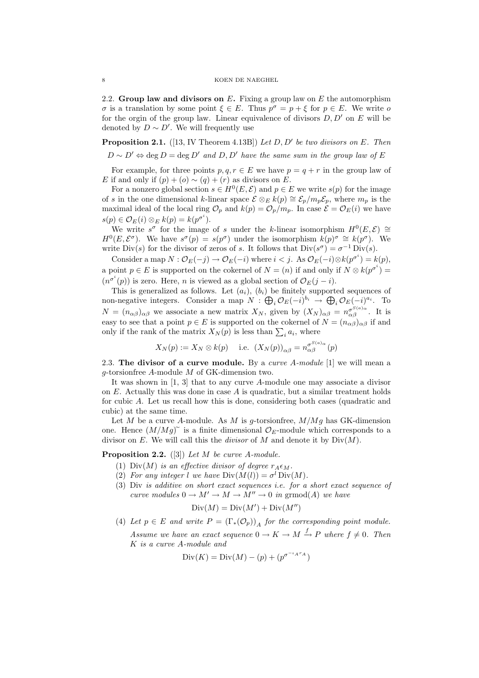2.2. Group law and divisors on  $E$ . Fixing a group law on  $E$  the automorphism σ is a translation by some point  $\xi \in E$ . Thus  $p^{\sigma} = p + \xi$  for  $p \in E$ . We write o for the orgin of the group law. Linear equivalence of divisors  $D, D'$  on E will be denoted by  $D \sim D'$ . We will frequently use

**Proposition 2.1.** ([13, IV Theorem 4.13B]) Let  $D, D'$  be two divisors on E. Then

 $D \sim D' \Leftrightarrow \text{deg } D = \text{deg } D'$  and  $D, D'$  have the same sum in the group law of E

For example, for three points  $p, q, r \in E$  we have  $p = q + r$  in the group law of E if and only if  $(p) + (o) \sim (q) + (r)$  as divisors on E.

For a nonzero global section  $s \in H^0(E, \mathcal{E})$  and  $p \in E$  we write  $s(p)$  for the image of s in the one dimensional k-linear space  $\mathcal{E} \otimes_E k(p) \cong \mathcal{E}_p/m_p \mathcal{E}_p$ , where  $m_p$  is the maximal ideal of the local ring  $\mathcal{O}_p$  and  $k(p) = \mathcal{O}_p/m_p$ . In case  $\mathcal{E} = \mathcal{O}_E(i)$  we have  $s(p) \in \mathcal{O}_E(i) \otimes_E k(p) = k(p^{\sigma^i}).$ 

We write  $s^{\sigma}$  for the image of s under the k-linear isomorphism  $H^{0}(E, \mathcal{E}) \cong$  $H^0(E, \mathcal{E}^{\sigma})$ . We have  $s^{\sigma}(p) = s(p^{\sigma})$  under the isomorphism  $k(p)^{\sigma} \cong k(p^{\sigma})$ . We write  $Div(s)$  for the divisor of zeros of s. It follows that  $Div(s^{\sigma}) = \sigma^{-1} Div(s)$ .

Consider a map  $N: \mathcal{O}_E(-j) \to \mathcal{O}_E(-i)$  where  $i < j$ . As  $\mathcal{O}_E(-i) \otimes k(p^{\sigma^i}) = k(p)$ , a point  $p \in E$  is supported on the cokernel of  $N = (n)$  if and only if  $N \otimes k(p^{\sigma^i}) =$  $(n^{\sigma^i}(p))$  is zero. Here, *n* is viewed as a global section of  $\mathcal{O}_E(j-i)$ .

This is generalized as follows. Let  $(a_i)$ ,  $(b_i)$  be finitely supported sequences of non-negative integers. Consider a map  $N: \bigoplus_i \mathcal{O}_E(-i)^{b_i} \to \bigoplus_i \mathcal{O}_E(-i)^{a_i}$ . To  $N = (n_{\alpha\beta})_{\alpha\beta}$  we associate a new matrix  $X_N$ , given by  $(X_N)_{\alpha\beta} = n_{\alpha\beta}^{\sigma^{S(a)}\alpha}$ . It is easy to see that a point  $p \in E$  is supported on the cokernel of  $N = (n_{\alpha\beta})_{\alpha\beta}$  if and only if the rank of the matrix  $X_N(p)$  is less than  $\sum_i a_i$ , where

$$
X_N(p) := X_N \otimes k(p)
$$
 i.e.  $(X_N(p))_{\alpha\beta} = n_{\alpha\beta}^{\sigma^{S(\alpha)}(\alpha)}(p)$ 

2.3. The divisor of a curve module. By a *curve A-module* [1] we will mean a g-torsionfree A-module M of GK-dimension two.

It was shown in [1, 3] that to any curve A-module one may associate a divisor on  $E$ . Actually this was done in case  $A$  is quadratic, but a similar treatment holds for cubic A. Let us recall how this is done, considering both cases (quadratic and cubic) at the same time.

Let  $M$  be a curve A-module. As  $M$  is g-torsionfree,  $M/Mg$  has GK-dimension one. Hence  $(M/Mg)$ <sup> $\sim$ </sup> is a finite dimensional  $\mathcal{O}_E$ -module which corresponds to a divisor on E. We will call this the *divisor* of M and denote it by  $Div(M)$ .

**Proposition 2.2.** ([3]) Let M be curve A-module.

- (1) Div(M) is an effective divisor of degree  $r_A \epsilon_M$ .
- (2) For any integer l we have  $Div(M(l)) = \sigma^l Div(M)$ .
- (3) Div is additive on short exact sequences i.e. for a short exact sequence of curve modules  $0 \to M' \to M \to M'' \to 0$  in grmod(A) we have

$$
Div(M) = Div(M') + Div(M'')
$$

(4) Let  $p \in E$  and write  $P = (\Gamma_*(\mathcal{O}_p))_A$  for the corresponding point module. Assume we have an exact sequence  $0 \to K \to M \xrightarrow{f} P$  where  $f \neq 0$ . Then K is a curve A-module and

$$
\text{Div}(K) = \text{Div}(M) - (p) + (p^{\sigma^{-\iota_{A} r_{A}}})
$$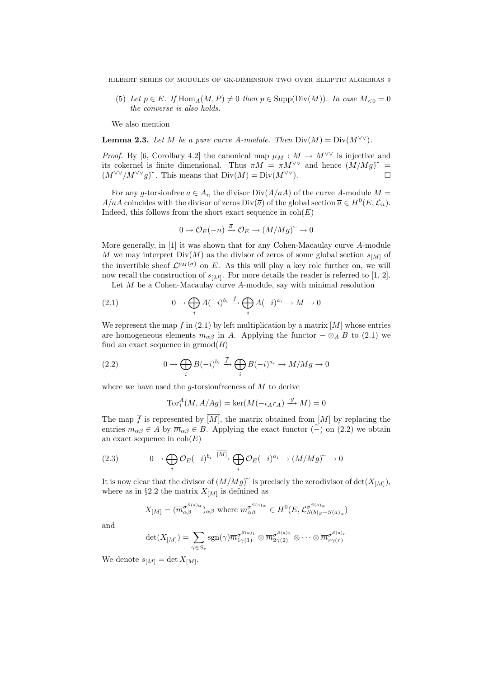(5) Let  $p \in E$ . If Hom  $_A(M, P) \neq 0$  then  $p \in \text{Supp}(\text{Div}(M))$ . In case  $M_{\leq 0} = 0$ the converse is also holds.

We also mention

**Lemma 2.3.** Let M be a pure curve A-module. Then  $Div(M) = Div(M^{\vee\vee})$ .

*Proof.* By [6, Corollary 4.2] the canonical map  $\mu_M : M \to M^{\vee \vee}$  is injective and its cokernel is finite dimensional. Thus  $\pi M = \pi M^{\vee \vee}$  and hence  $(M/Mg)^{\sim} = (M^{\vee \vee}/M^{\vee \vee} \circ \mathcal{L}^{\vee})^{\sim}$  This means that  $\text{Div}(M) - \text{Div}(M^{\vee \vee})$  $(M^{\vee\vee}/M^{\vee\vee}q)^{\sim}$ . This means that  $Div(M) = Div(M^{\vee\vee})$ .

For any g-torsion free  $a \in A_n$  the divisor  $Div(A/aA)$  of the curve A-module  $M =$  $A/aA$  coincides with the divisor of zeros Div( $\overline{a}$ ) of the global section  $\overline{a} \in H^0(E, \mathcal{L}_n)$ . Indeed, this follows from the short exact sequence in  $\text{coh}(E)$ 

$$
0 \to \mathcal{O}_E(-n) \xrightarrow{\overline{a}} \mathcal{O}_E \to (M/Mg)^\sim \to 0
$$

More generally, in [1] it was shown that for any Cohen-Macaulay curve A-module M we may interpret  $Div(M)$  as the divisor of zeros of some global section  $s_{[M]}$  of the invertible sheaf  $\mathcal{L}^{p_M(\sigma)}$  on E. As this will play a key role further on, we will now recall the construction of  $s_{[M]}$ . For more details the reader is referred to [1, 2].

Let  $M$  be a Cohen-Macaulay curve  $A$ -module, say with minimal resolution

(2.1) 
$$
0 \to \bigoplus_i A(-i)^{b_i} \xrightarrow{f} \bigoplus_i A(-i)^{a_i} \to M \to 0
$$

We represent the map f in  $(2.1)$  by left multiplication by a matrix  $[M]$  whose entries are homogeneous elements  $m_{\alpha\beta}$  in A. Applying the functor  $-\otimes_A B$  to (2.1) we find an exact sequence in  $\mathrm{grmod}(B)$ 

(2.2) 
$$
0 \to \bigoplus_i B(-i)^{b_i} \stackrel{\overline{f}}{\to} \bigoplus_i B(-i)^{a_i} \to M/Mg \to 0
$$

where we have used the *q*-torsionfreeness of  $M$  to derive

$$
\operatorname{Tor}_1^A(M,A/Ag) = \ker(M(-\iota_A r_A) \xrightarrow{\cdot g} M) = 0
$$

The map  $\overline{f}$  is represented by  $\overline{[M]}$ , the matrix obtained from  $[M]$  by replacing the entries  $m_{\alpha\beta} \in A$  by  $\overline{m}_{\alpha\beta} \in B$ . Applying the exact functor  $(\tilde{\text{--}})$  on  $(2.2)$  we obtain an exact sequence in  $\text{coh}(E)$ 

(2.3) 
$$
0 \to \bigoplus_{i} \mathcal{O}_E(-i)^{b_i} \xrightarrow{\overline{[M]}} \bigoplus_{i} \mathcal{O}_E(-i)^{a_i} \to (M/Mg)^{\sim} \to 0
$$

It is now clear that the divisor of  $(M/Mg)$ <sup> $\sim$ </sup> is precisely the zerodivisor of det $(X_{[M]})$ , where as in §2.2 the matrix  $X_{[M]}$  is definined as

$$
X_{[M]} = (\overline{m}_{\alpha\beta}^{\sigma^{S(a)}\alpha})_{\alpha\beta} \text{ where } \overline{m}_{\alpha\beta}^{\sigma^{S(a)}\alpha} \in H^0(E, \mathcal{L}_{S(b)\beta-S(a)\alpha}^{\sigma^{S(a)}\alpha})
$$

and

$$
\det(X_{[M]}) = \sum_{\gamma \in S_r} \operatorname{sgn}(\gamma) \overline{m}_{1\gamma(1)}^{\sigma^{S(a)_1}} \otimes \overline{m}_{2\gamma(2)}^{\sigma^{S(a)_2}} \otimes \cdots \otimes \overline{m}_{r\gamma(r)}^{\sigma^{S(a)_r}}
$$

We denote  $s_{[M]} = \det X_{[M]}.$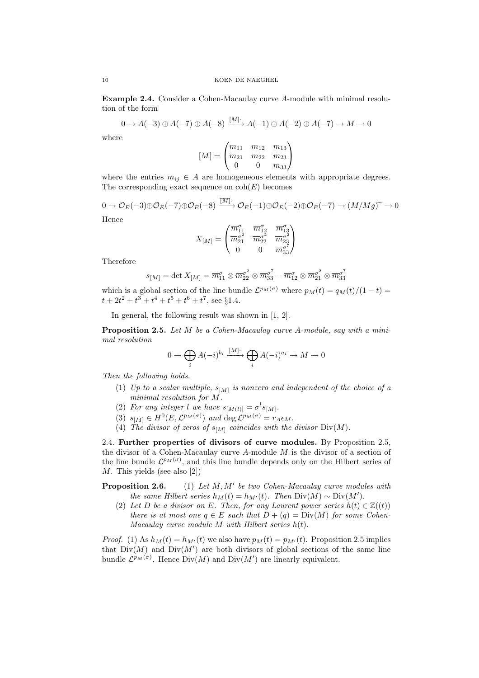Example 2.4. Consider a Cohen-Macaulay curve A-module with minimal resolution of the form

$$
0 \to A(-3) \oplus A(-7) \oplus A(-8) \xrightarrow{[M]} A(-1) \oplus A(-2) \oplus A(-7) \to M \to 0
$$

where

$$
[M] = \begin{pmatrix} m_{11} & m_{12} & m_{13} \\ m_{21} & m_{22} & m_{23} \\ 0 & 0 & m_{33} \end{pmatrix}
$$

where the entries  $m_{ij} \in A$  are homogeneous elements with appropriate degrees. The corresponding exact sequence on  $\text{coh}(E)$  becomes

$$
0 \to \mathcal{O}_E(-3) \oplus \mathcal{O}_E(-7) \oplus \mathcal{O}_E(-8) \xrightarrow{[M]^\cdot} \mathcal{O}_E(-1) \oplus \mathcal{O}_E(-2) \oplus \mathcal{O}_E(-7) \to (M/Mg)^\sim \to 0
$$
  
Hence

$$
X_{[M]} = \begin{pmatrix} \overline{m}_{11}^\sigma & \overline{m}_{12}^\sigma & \overline{m}_{13}^\sigma \\ \overline{m}_{21}^{\sigma^2} & \overline{m}_{22}^{\sigma^2} & \overline{m}_{23}^{\sigma^2} \\ 0 & 0 & \overline{m}_{33}^{\sigma^2} \end{pmatrix}
$$

Therefore

$$
s_{[M]} = \det X_{[M]} = \overline{m}_{11}^{\sigma} \otimes \overline{m}_{22}^{\sigma^2} \otimes \overline{m}_{33}^{\sigma^7} - \overline{m}_{12}^{\sigma} \otimes \overline{m}_{21}^{\sigma^2} \otimes \overline{m}_{33}^{\sigma^7}
$$

which is a global section of the line bundle  $\mathcal{L}^{p_M(\sigma)}$  where  $p_M(t) = q_M(t)/(1-t)$  $t + 2t^2 + t^3 + t^4 + t^5 + t^6 + t^7$ , see §1.4.

In general, the following result was shown in [1, 2].

Proposition 2.5. Let M be a Cohen-Macaulay curve A-module, say with a minimal resolution

$$
0 \to \bigoplus_i A(-i)^{b_i} \xrightarrow{[M]}\bigoplus_i A(-i)^{a_i} \to M \to 0
$$

Then the following holds.

- (1) Up to a scalar multiple,  $s_{[M]}$  is nonzero and independent of the choice of a minimal resolution for M.
- (2) For any integer l we have  $s_{[M(l)]} = \sigma^l s_{[M]}$ .
- (3)  $s_{[M]} \in H^0(E, \mathcal{L}^{p_M(\sigma)})$  and  $\deg \mathcal{L}^{p_M(\sigma)} = r_A \epsilon_M$ .
- (4) The divisor of zeros of  $s_{[M]}$  coincides with the divisor Div(M).

2.4. Further properties of divisors of curve modules. By Proposition 2.5, the divisor of a Cohen-Macaulay curve  $A$ -module  $M$  is the divisor of a section of the line bundle  $\mathcal{L}^{p_M(\sigma)}$ , and this line bundle depends only on the Hilbert series of M. This yields (see also [2])

Proposition 2.6. (1) Let  $M, M'$  be two Cohen-Macaulay curve modules with the same Hilbert series  $h_M(t) = h_{M'}(t)$ . Then Div $(M) \sim Div(M')$ .

(2) Let D be a divisor on E. Then, for any Laurent power series  $h(t) \in \mathbb{Z}((t))$ there is at most one  $q \in E$  such that  $D + (q) = Div(M)$  for some Cohen-Macaulay curve module  $M$  with Hilbert series  $h(t)$ .

*Proof.* (1) As  $h_M(t) = h_{M'}(t)$  we also have  $p_M(t) = p_{M'}(t)$ . Proposition 2.5 implies that  $Div(M)$  and  $Div(M')$  are both divisors of global sections of the same line bundle  $\mathcal{L}^{p_M(\sigma)}$ . Hence  $Div(M)$  and  $Div(M')$  are linearly equivalent.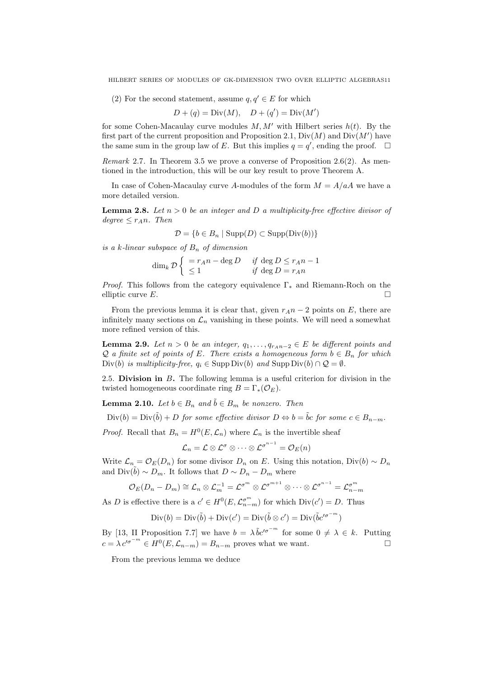(2) For the second statement, assume  $q, q' \in E$  for which

$$
D + (q) = Div(M), \quad D + (q') = Div(M')
$$

for some Cohen-Macaulay curve modules  $M, M'$  with Hilbert series  $h(t)$ . By the first part of the current proposition and Proposition 2.1,  $Div(M)$  and  $Div(M')$  have the same sum in the group law of E. But this implies  $q = q'$ , ending the proof.  $\Box$ 

Remark 2.7. In Theorem 3.5 we prove a converse of Proposition 2.6(2). As mentioned in the introduction, this will be our key result to prove Theorem A.

In case of Cohen-Macaulay curve A-modules of the form  $M = A/aA$  we have a more detailed version.

**Lemma 2.8.** Let  $n > 0$  be an integer and D a multiplicity-free effective divisor of  $degree \leq r_A n$ . Then

$$
\mathcal{D} = \{b \in B_n \mid \text{Supp}(D) \subset \text{Supp}(\text{Div}(b))\}
$$

is a k-linear subspace of  $B_n$  of dimension

$$
\dim_k \mathcal{D}\begin{cases}\n= r_A n - \deg D & \text{if } \deg D \le r_A n - 1 \\
\le 1 & \text{if } \deg D = r_A n\n\end{cases}
$$

*Proof.* This follows from the category equivalence  $\Gamma_*$  and Riemann-Roch on the elliptic curve  $E$ .

From the previous lemma it is clear that, given  $r_A n - 2$  points on E, there are infinitely many sections on  $\mathcal{L}_n$  vanishing in these points. We will need a somewhat more refined version of this.

**Lemma 2.9.** Let  $n > 0$  be an integer,  $q_1, \ldots, q_{r_A n-2} \in E$  be different points and  $Q$  a finite set of points of E. There exists a homogeneous form  $b \in B_n$  for which Div(b) is multiplicity-free,  $q_i \in \text{Supp Div}(b)$  and  $\text{Supp Div}(b) \cap \mathcal{Q} = \emptyset$ .

2.5. Division in B. The following lemma is a useful criterion for division in the twisted homogeneous coordinate ring  $B = \Gamma_*(\mathcal{O}_E)$ .

**Lemma 2.10.** Let  $b \in B_n$  and  $\tilde{b} \in B_m$  be nonzero. Then

 $Div(b) = Div(\tilde{b}) + D$  for some effective divisor  $D \Leftrightarrow b = \tilde{b}c$  for some  $c \in B_{n-m}$ .

*Proof.* Recall that  $B_n = H^0(E, \mathcal{L}_n)$  where  $\mathcal{L}_n$  is the invertible sheaf

$$
{\cal L}_n={\cal L}\otimes{\cal L}^{\sigma}\otimes\cdots\otimes{\cal L}^{\sigma^{n-1}}={\cal O}_E(n)
$$

Write  $\mathcal{L}_n = \mathcal{O}_E(D_n)$  for some divisor  $D_n$  on E. Using this notation, Div(b) ~  $D_n$ and  $Div(\tilde{b}) \sim D_m$ . It follows that  $D \sim D_n - D_m$  where

$$
\mathcal{O}_E(D_n - D_m) \cong \mathcal{L}_n \otimes \mathcal{L}_m^{-1} = \mathcal{L}^{\sigma^m} \otimes \mathcal{L}^{\sigma^{m+1}} \otimes \cdots \otimes \mathcal{L}^{\sigma^{n-1}} = \mathcal{L}_{n-m}^{\sigma^m}
$$

As D is effective there is a  $c' \in H^0(E, \mathcal{L}_{n-m}^{\sigma^m})$  for which  $Div(c') = D$ . Thus

$$
\text{Div}(b) = \text{Div}(\tilde{b}) + \text{Div}(c') = \text{Div}(\tilde{b} \otimes c') = \text{Div}(\tilde{b}c'^{\sigma^{-m}})
$$

By [13, II Proposition 7.7] we have  $b = \lambda \tilde{b}c^{\prime\sigma^{-m}}$  for some  $0 \neq \lambda \in k$ . Putting  $c = \lambda c'^{\sigma^{-m}} \in H^0(E, \mathcal{L}_{n-m}) = B_{n-m}$  proves what we want.

From the previous lemma we deduce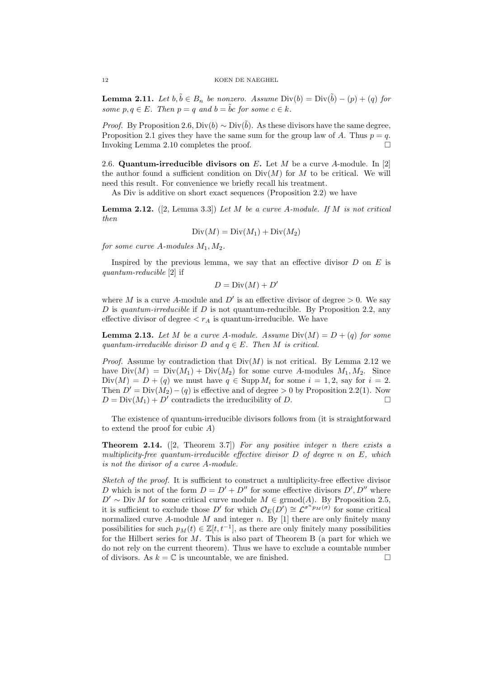**Lemma 2.11.** Let  $b, \tilde{b} \in B_n$  be nonzero. Assume Div $(b) = Div(\tilde{b}) - (p) + (q)$  for some  $p, q \in E$ . Then  $p = q$  and  $b = \tilde{b}c$  for some  $c \in k$ .

*Proof.* By Proposition 2.6, Div(b)  $\sim$  Div(b). As these divisors have the same degree, Proposition 2.1 gives they have the same sum for the group law of A. Thus  $p = q$ . Invoking Lemma 2.10 completes the proof.

2.6. Quantum-irreducible divisors on E. Let M be a curve A-module. In [2] the author found a sufficient condition on  $Div(M)$  for M to be critical. We will need this result. For convenience we briefly recall his treatment.

As Div is additive on short exact sequences (Proposition 2.2) we have

**Lemma 2.12.** ([2, Lemma 3.3]) Let M be a curve A-module. If M is not critical then

$$
Div(M) = Div(M_1) + Div(M_2)
$$

for some curve A-modules  $M_1, M_2$ .

Inspired by the previous lemma, we say that an effective divisor  $D$  on  $E$  is quantum-reducible [2] if

$$
D = \text{Div}(M) + D'
$$

where M is a curve A-module and  $D'$  is an effective divisor of degree  $> 0$ . We say D is quantum-irreducible if D is not quantum-reducible. By Proposition 2.2, any effective divisor of degree  $\langle r_A \rangle$  is quantum-irreducible. We have

**Lemma 2.13.** Let M be a curve A-module. Assume  $Div(M) = D + (q)$  for some quantum-irreducible divisor D and  $q \in E$ . Then M is critical.

*Proof.* Assume by contradiction that  $Div(M)$  is not critical. By Lemma 2.12 we have  $Div(M) = Div(M_1) + Div(M_2)$  for some curve A-modules  $M_1, M_2$ . Since  $Div(M) = D + (q)$  we must have  $q \in Supp M_i$  for some  $i = 1, 2$ , say for  $i = 2$ . Then  $D' = Div(M_2) - (q)$  is effective and of degree > 0 by Proposition 2.2(1). Now  $D = Div(M_1) + D'$  contradicts the irreducibility of D.

The existence of quantum-irreducible divisors follows from (it is straightforward to extend the proof for cubic A)

**Theorem 2.14.** ([2, Theorem 3.7]) For any positive integer n there exists a multiplicity-free quantum-irreducible effective divisor  $D$  of degree n on  $E$ , which is not the divisor of a curve A-module.

Sketch of the proof. It is sufficient to construct a multiplicity-free effective divisor D which is not of the form  $D = D' + D''$  for some effective divisors  $D', D''$  where  $D' \sim Div M$  for some critical curve module  $M \in \mathrm{grmod}(A)$ . By Proposition 2.5, it is sufficient to exclude those D' for which  $\mathcal{O}_E(D') \cong \mathcal{L}^{\sigma^n p_M(\sigma)}$  for some critical normalized curve A-module M and integer n. By  $[1]$  there are only finitely many possibilities for such  $p_M(t) \in \mathbb{Z}[t, t^{-1}]$ , as there are only finitely many possibilities for the Hilbert series for  $M$ . This is also part of Theorem B (a part for which we do not rely on the current theorem). Thus we have to exclude a countable number of divisors. As  $k = \mathbb{C}$  is uncountable, we are finished.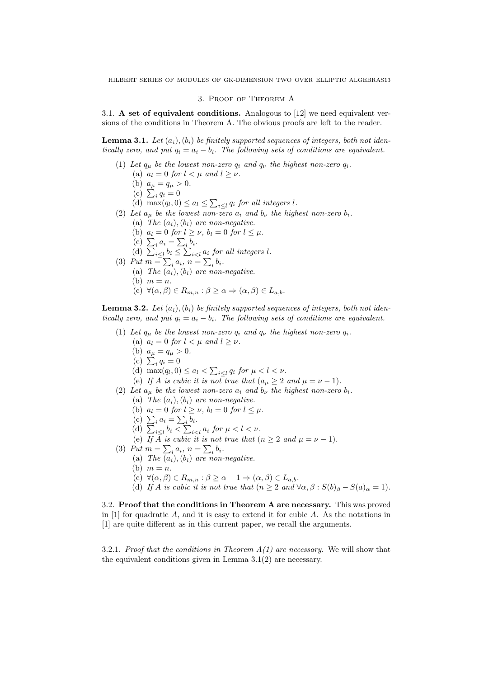#### 3. Proof of Theorem A

3.1. A set of equivalent conditions. Analogous to [12] we need equivalent versions of the conditions in Theorem A. The obvious proofs are left to the reader.

**Lemma 3.1.** Let  $(a_i)$ ,  $(b_i)$  be finitely supported sequences of integers, both not identically zero, and put  $q_i = a_i - b_i$ . The following sets of conditions are equivalent.

(1) Let  $q_\mu$  be the lowest non-zero  $q_i$  and  $q_\nu$  the highest non-zero  $q_i$ . (a)  $a_l = 0$  for  $l < \mu$  and  $l \geq \nu$ . (b)  $a_{\mu} = q_{\mu} > 0$ . (c)  $\sum_i q_i = 0$ (d)  $\max(q_l, 0) \leq a_l \leq \sum_{i \leq l} q_i$  for all integers l. (2) Let  $a_{\mu}$  be the lowest non-zero  $a_i$  and  $b_{\nu}$  the highest non-zero  $b_i$ . (a) The  $(a_i)$ ,  $(b_i)$  are non-negative. (b)  $a_l = 0$  for  $l \geq \nu$ ,  $b_l = 0$  for  $l \leq \mu$ . (c)  $\sum_i a_i = \sum_i b_i$ . (d)  $\sum_{i\leq l} b_i \leq \sum_{i\leq l} a_i$  for all integers l. (3) Put  $m = \sum_i a_i, n = \sum_i b_i$ . (a) The  $(a_i), (b_i)$  are non-negative. (b)  $m = n$ . (c)  $\forall (\alpha, \beta) \in R_{m,n} : \beta \geq \alpha \Rightarrow (\alpha, \beta) \in L_{a,b}.$ 

**Lemma 3.2.** Let  $(a_i)$ ,  $(b_i)$  be finitely supported sequences of integers, both not identically zero, and put  $q_i = a_i - b_i$ . The following sets of conditions are equivalent.

- (1) Let  $q_{\mu}$  be the lowest non-zero  $q_i$  and  $q_{\nu}$  the highest non-zero  $q_i$ .
	- (a)  $a_l = 0$  for  $l < \mu$  and  $l \geq \nu$ .
	- (b)  $a_{\mu} = q_{\mu} > 0$ .
	- (c)  $\sum_{i} q_i = 0$
	- (d)  $\max(q_l, 0) \leq a_l < \sum_{i \leq l} q_i$  for  $\mu < l < \nu$ .
	- (e) If A is cubic it is not true that  $(a_{\mu} \geq 2 \text{ and } \mu = \nu 1)$ .
- (2) Let  $a_{\mu}$  be the lowest non-zero  $a_i$  and  $b_{\nu}$  the highest non-zero  $b_i$ .
	- (a) The  $(a_i)$ ,  $(b_i)$  are non-negative.
		- (b)  $a_l = 0$  for  $l \geq \nu$ ,  $b_l = 0$  for  $l \leq \mu$ .
		- (c)  $\sum_i a_i = \sum_i b_i$ .
		- (d)  $\sum_{i\leq l} b_i \leq \sum_{i\leq l} a_i$  for  $\mu < l < \nu$ .
	- (e) If  $\overline{A}$  is cubic it is not true that  $(n \geq 2 \text{ and } \mu = \nu 1)$ .
- (3) Put  $m = \sum_i a_i, n = \sum_i b_i$ .
	- (a) The  $(a_i)$ ,  $(b_i)$  are non-negative.
	- (b)  $m = n$ .
	- (c)  $\forall (\alpha, \beta) \in R_{m,n} : \beta \ge \alpha 1 \Rightarrow (\alpha, \beta) \in L_{a,b}.$
	- (d) If A is cubic it is not true that  $(n \geq 2 \text{ and } \forall \alpha, \beta : S(b)_{\beta} S(a)_{\alpha} = 1)$ .

3.2. Proof that the conditions in Theorem A are necessary. This was proved in  $[1]$  for quadratic A, and it is easy to extend it for cubic A. As the notations in [1] are quite different as in this current paper, we recall the arguments.

3.2.1. Proof that the conditions in Theorem  $A(1)$  are necessary. We will show that the equivalent conditions given in Lemma 3.1(2) are necessary.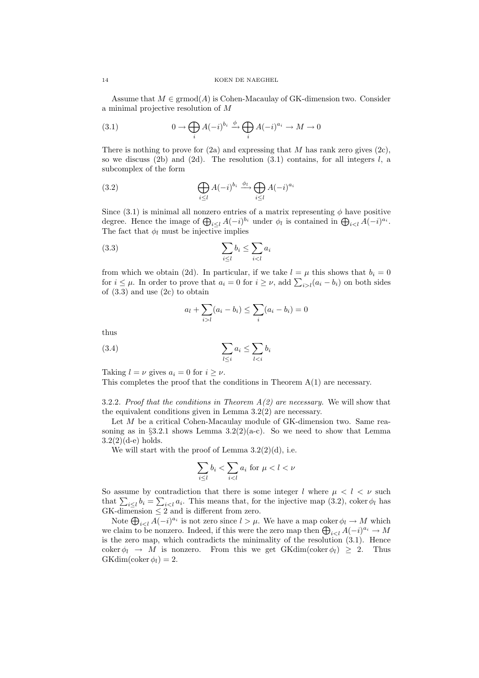Assume that  $M \in \mathrm{grmod}(A)$  is Cohen-Macaulay of GK-dimension two. Consider a minimal projective resolution of M

(3.1) 
$$
0 \to \bigoplus_i A(-i)^{b_i} \xrightarrow{\phi} \bigoplus_i A(-i)^{a_i} \to M \to 0
$$

There is nothing to prove for  $(2a)$  and expressing that M has rank zero gives  $(2c)$ , so we discuss (2b) and (2d). The resolution (3.1) contains, for all integers  $l$ , a subcomplex of the form

(3.2) 
$$
\bigoplus_{i \leq l} A(-i)^{b_i} \xrightarrow{\phi_l} \bigoplus_{i \leq l} A(-i)^{a_i}
$$

Since  $(3.1)$  is minimal all nonzero entries of a matrix representing  $\phi$  have positive degree. Hence the image of  $\bigoplus_{i\leq l}A(-i)^{b_i}$  under  $\phi_l$  is contained in  $\bigoplus_{i\leq l}A(-i)^{a_i}$ . The fact that  $\phi_l$  must be injective implies

$$
\sum_{i \le l} b_i \le \sum_{i < l} a_i
$$

from which we obtain (2d). In particular, if we take  $l = \mu$  this shows that  $b_i = 0$ for  $i \leq \mu$ . In order to prove that  $a_i = 0$  for  $i \geq \nu$ , add  $\sum_{i>l} (a_i - b_i)$  on both sides of (3.3) and use (2c) to obtain

$$
a_l + \sum_{i>l} (a_i - b_i) \le \sum_i (a_i - b_i) = 0
$$

thus

$$
\sum_{l \le i} a_i \le \sum_{l < i} b_i
$$

Taking  $l = \nu$  gives  $a_i = 0$  for  $i > \nu$ .

This completes the proof that the conditions in Theorem  $A(1)$  are necessary.

3.2.2. Proof that the conditions in Theorem  $A(2)$  are necessary. We will show that the equivalent conditions given in Lemma 3.2(2) are necessary.

Let M be a critical Cohen-Macaulay module of GK-dimension two. Same reasoning as in §3.2.1 shows Lemma  $3.2(2)(a-c)$ . So we need to show that Lemma  $3.2(2)(d-e)$  holds.

We will start with the proof of Lemma  $3.2(2)(d)$ , i.e.

$$
\sum_{i \le l} b_i < \sum_{i < l} a_i \text{ for } \mu < l < \nu
$$

So assume by contradiction that there is some integer l where  $\mu < l < \nu$  such that  $\sum_{i\leq l} b_i = \sum_{i\leq l} a_i$ . This means that, for the injective map (3.2), coker  $\phi_l$  has  $GK$ -dimension  $\leq 2$  and is different from zero.

Note  $\bigoplus_{i < l} A(-i)^{a_i}$  is not zero since  $l > \mu$ . We have a map coker  $\phi_l \to M$  which we claim to be nonzero. Indeed, if this were the zero map then  $\bigoplus_{i\leq l} A(-i)^{a_i} \to M$ is the zero map, which contradicts the minimality of the resolution (3.1). Hence coker  $\phi_l \to M$  is nonzero. From this we get GKdim(coker  $\phi_l$ )  $\geq 2$ . Thus  $GKdim(\mathrm{coker}\,\phi_l)=2.$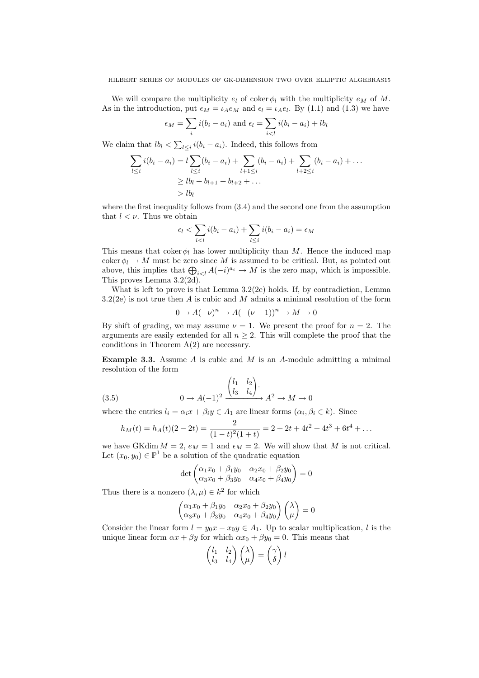We will compare the multiplicity  $e_l$  of coker  $\phi_l$  with the multiplicity  $e_M$  of M. As in the introduction, put  $\epsilon_M = \iota_A e_M$  and  $\epsilon_l = \iota_A e_l$ . By (1.1) and (1.3) we have

$$
\epsilon_M = \sum_i i(b_i - a_i) \text{ and } \epsilon_l = \sum_{i < l} i(b_i - a_i) + lb_l
$$

We claim that  $lb_l < \sum_{l \leq i} i(b_i - a_i)$ . Indeed, this follows from

$$
\sum_{l \leq i} i(b_i - a_i) = l \sum_{l \leq i} (b_i - a_i) + \sum_{l+1 \leq i} (b_i - a_i) + \sum_{l+2 \leq i} (b_i - a_i) + \dots
$$
  
\n
$$
\geq lb_l + b_{l+1} + b_{l+2} + \dots
$$
  
\n
$$
> lb_l
$$

where the first inequality follows from (3.4) and the second one from the assumption that  $l < \nu$ . Thus we obtain

$$
\epsilon_l < \sum_{i < l} i(b_i - a_i) + \sum_{l \leq i} i(b_i - a_i) = \epsilon_M
$$

This means that coker  $\phi_l$  has lower multiplicity than M. Hence the induced map coker  $\phi_l \to M$  must be zero since M is assumed to be critical. But, as pointed out above, this implies that  $\bigoplus_{i < l} A(-i)^{a_i} \to M$  is the zero map, which is impossible. This proves Lemma 3.2(2d).

What is left to prove is that Lemma 3.2(2e) holds. If, by contradiction, Lemma  $3.2(2e)$  is not true then A is cubic and M admits a minimal resolution of the form

$$
0 \to A(-\nu)^n \to A(-(\nu - 1))^n \to M \to 0
$$

By shift of grading, we may assume  $\nu = 1$ . We present the proof for  $n = 2$ . The arguments are easily extended for all  $n \geq 2$ . This will complete the proof that the conditions in Theorem  $A(2)$  are necessary.

**Example 3.3.** Assume A is cubic and M is an A-module admitting a minimal resolution of the form

(3.5) 
$$
0 \to A(-1)^2 \xrightarrow{\begin{pmatrix} l_1 & l_2 \\ l_3 & l_4 \end{pmatrix}} A^2 \to M \to 0
$$

where the entries  $l_i = \alpha_i x + \beta_i y \in A_1$  are linear forms  $(\alpha_i, \beta_i \in k)$ . Since

$$
h_M(t) = h_A(t)(2 - 2t) = \frac{2}{(1 - t)^2 (1 + t)} = 2 + 2t + 4t^2 + 4t^3 + 6t^4 + \dots
$$

we have GKdim  $M = 2$ ,  $e_M = 1$  and  $\epsilon_M = 2$ . We will show that M is not critical. Let  $(x_0, y_0) \in \mathbb{P}^1$  be a solution of the quadratic equation

$$
\det\begin{pmatrix} \alpha_1 x_0 + \beta_1 y_0 & \alpha_2 x_0 + \beta_2 y_0 \\ \alpha_3 x_0 + \beta_3 y_0 & \alpha_4 x_0 + \beta_4 y_0 \end{pmatrix} = 0
$$

Thus there is a nonzero  $(\lambda, \mu) \in k^2$  for which

$$
\begin{pmatrix}\n\alpha_1 x_0 + \beta_1 y_0 & \alpha_2 x_0 + \beta_2 y_0 \\
\alpha_3 x_0 + \beta_3 y_0 & \alpha_4 x_0 + \beta_4 y_0\n\end{pmatrix}\n\begin{pmatrix}\n\lambda \\
\mu\n\end{pmatrix} = 0
$$

Consider the linear form  $l = y_0x - x_0y \in A_1$ . Up to scalar multiplication, l is the unique linear form  $\alpha x + \beta y$  for which  $\alpha x_0 + \beta y_0 = 0$ . This means that

$$
\begin{pmatrix} l_1 & l_2 \\ l_3 & l_4 \end{pmatrix} \begin{pmatrix} \lambda \\ \mu \end{pmatrix} = \begin{pmatrix} \gamma \\ \delta \end{pmatrix} l
$$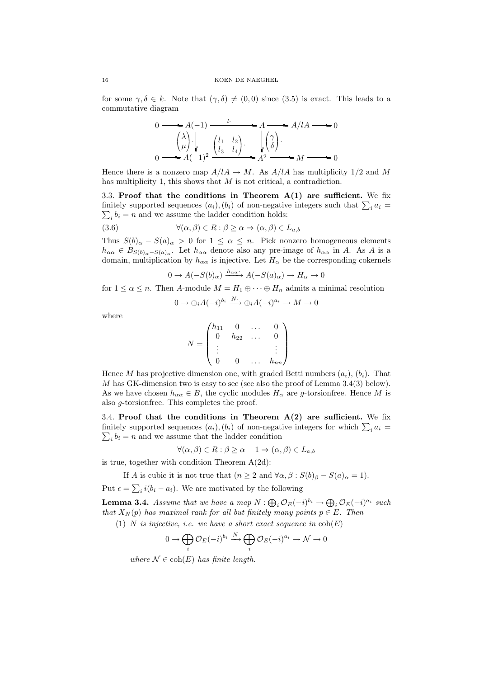for some  $\gamma, \delta \in k$ . Note that  $(\gamma, \delta) \neq (0, 0)$  since  $(3.5)$  is exact. This leads to a commutative diagram

$$
0 \longrightarrow A(-1) \longrightarrow A \longrightarrow A/lA \longrightarrow 0
$$
  
\n
$$
\begin{pmatrix} \lambda \\ \mu \end{pmatrix} \downarrow \qquad \begin{pmatrix} l_1 & l_2 \\ l_3 & l_4 \end{pmatrix} \longrightarrow A^2 \longrightarrow A/lA \longrightarrow 0
$$
  
\n
$$
0 \longrightarrow A(-1)^2 \longrightarrow A^2 \longrightarrow M \longrightarrow 0
$$

Hence there is a nonzero map  $A/lA \rightarrow M$ . As  $A/lA$  has multiplicity 1/2 and M has multiplicity 1, this shows that  $M$  is not critical, a contradiction.

3.3. Proof that the conditions in Theorem  $A(1)$  are sufficient. We fix finitely supported sequences  $(a_i)$ ,  $(b_i)$  of non-negative integers such that  $\sum_i a_i =$  $\sum_i b_i = n$  and we assume the ladder condition holds:

(3.6) 
$$
\forall (\alpha, \beta) \in R : \beta \ge \alpha \Rightarrow (\alpha, \beta) \in L_{a,b}
$$

Thus  $S(b)_{\alpha} - S(a)_{\alpha} > 0$  for  $1 \leq \alpha \leq n$ . Pick nonzero homogeneous elements  $h_{\alpha\alpha} \in B_{S(b)_{\alpha}-S(a)_{\alpha}}$ . Let  $h_{\alpha\alpha}$  denote also any pre-image of  $h_{\alpha\alpha}$  in A. As A is a domain, multiplication by  $h_{\alpha\alpha}$  is injective. Let  $H_{\alpha}$  be the corresponding cokernels

$$
0 \to A(-S(b)_{\alpha}) \xrightarrow{h_{\alpha\alpha}} A(-S(a)_{\alpha}) \to H_{\alpha} \to 0
$$

for  $1 \leq \alpha \leq n$ . Then A-module  $M = H_1 \oplus \cdots \oplus H_n$  admits a minimal resolution

$$
0 \to \bigoplus_i A(-i)^{b_i} \xrightarrow{N^*} \bigoplus_i A(-i)^{a_i} \to M \to 0
$$

where

$$
N = \begin{pmatrix} h_{11} & 0 & \dots & 0 \\ 0 & h_{22} & \dots & 0 \\ \vdots & & & \vdots \\ 0 & 0 & \dots & h_{nn} \end{pmatrix}
$$

Hence M has projective dimension one, with graded Betti numbers  $(a_i)$ ,  $(b_i)$ . That M has GK-dimension two is easy to see (see also the proof of Lemma  $3.4(3)$  below). As we have chosen  $h_{\alpha\alpha} \in B$ , the cyclic modules  $H_{\alpha}$  are g-torsionfree. Hence M is also g-torsionfree. This completes the proof.

3.4. Proof that the conditions in Theorem  $A(2)$  are sufficient. We fix finitely supported sequences  $(a_i)$ ,  $(b_i)$  of non-negative integers for which  $\sum_i a_i =$  $\sum_i b_i = n$  and we assume that the ladder condition

$$
\forall (\alpha, \beta) \in R : \beta \ge \alpha - 1 \Rightarrow (\alpha, \beta) \in L_{a,b}
$$

is true, together with condition Theorem  $A(2d)$ :

If A is cubic it is not true that  $(n \geq 2 \text{ and } \forall \alpha, \beta : S(b)_{\beta} - S(a)_{\alpha} = 1)$ .

Put  $\epsilon = \sum_i i(b_i - a_i)$ . We are motivated by the following

**Lemma 3.4.** Assume that we have a map  $N: \bigoplus_i \mathcal{O}_E(-i)^{b_i} \to \bigoplus_i \mathcal{O}_E(-i)^{a_i}$  such that  $X_N(p)$  has maximal rank for all but finitely many points  $p \in E$ . Then

(1) N is injective, i.e. we have a short exact sequence in  $coh(E)$ 

$$
0 \to \bigoplus_i \mathcal{O}_E(-i)^{b_i} \xrightarrow{N} \bigoplus_i \mathcal{O}_E(-i)^{a_i} \to \mathcal{N} \to 0
$$

where  $\mathcal{N} \in \text{coh}(E)$  has finite length.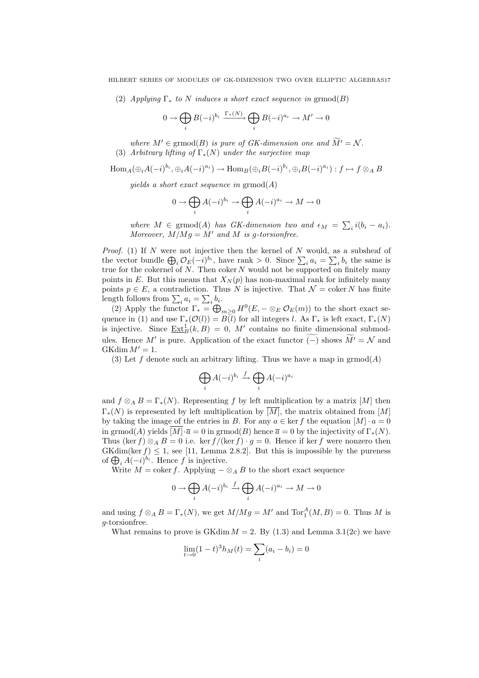(2) Applying  $\Gamma_*$  to N induces a short exact sequence in grmod(B)

$$
0 \to \bigoplus_i B(-i)^{b_i} \xrightarrow{\Gamma_*(N)} \bigoplus_i B(-i)^{a_i} \to M' \to 0
$$

where  $M' \in \mathrm{grmod}(B)$  is pure of GK-dimension one and  $\widetilde{M'} = \mathcal{N}$ .

(3) Arbitrary lifting of  $\Gamma_*(N)$  under the surjective map

 $\text{Hom}_A(\bigoplus_i A(-i)^{b_i}, \bigoplus_i A(-i)^{a_i}) \to \text{Hom}_B(\bigoplus_i B(-i)^{b_i}, \bigoplus_i B(-i)^{a_i}) : f \mapsto f \otimes_A B$ 

yields a short exact sequence in  $\mathrm{grmod}(A)$ 

$$
0 \to \bigoplus_i A(-i)^{b_i} \to \bigoplus_i A(-i)^{a_i} \to M \to 0
$$

where  $M \in \mathrm{grmod}(A)$  has GK-dimension two and  $\epsilon_M = \sum_i i(b_i - a_i)$ . Moreover,  $M/Mq = M'$  and M is q-torsionfree.

*Proof.* (1) If  $N$  were not injective then the kernel of  $N$  would, as a subsheaf of the vector bundle  $\bigoplus_i \mathcal{O}_E(-i)^{b_i}$ , have rank > 0. Since  $\sum_i a_i = \sum_i b_i$  the same is true for the cokernel of N. Then coker N would not be supported on finitely many points in E. But this means that  $X_N(p)$  has non-maximal rank for infinitely many points  $p \in E$ , a contradiction. Thus N is injective. That  $\mathcal{N} = \text{coker } N$  has finite length follows from  $\sum_i a_i = \sum_i b_i$ .

(2) Apply the functor  $\Gamma_* = \bigoplus_{m \geq 0} H^0(E, -\otimes_E \mathcal{O}_E(m))$  to the short exact sequence in (1) and use  $\Gamma_*(\mathcal{O}(l)) = \overline{B}(l)$  for all integers l. As  $\Gamma_*$  is left exact,  $\Gamma_*(N)$ is injective. Since  $\underline{\operatorname{Ext}}_B^1(k, B) = 0$ , M' contains no finite dimensional submodules. Hence M' is pure. Application of the exact functor ( $\mathcal{-}$ ) shows  $\widetilde{M}^{\prime} = \mathcal{N}$  and  $GKdim M' = 1.$ 

(3) Let f denote such an arbitrary lifting. Thus we have a map in  $\operatorname{grmod}(A)$ 

$$
\bigoplus_i A(-i)^{b_i} \xrightarrow{f} \bigoplus_i A(-i)^{a_i}
$$

and  $f \otimes_A B = \Gamma_*(N)$ . Representing f by left multiplication by a matrix [M] then  $\Gamma_*(N)$  is represented by left multiplication by  $\overline{[M]}$ , the matrix obtained from  $\overline{[M]}$ by taking the image of the entries in B. For any  $a \in \text{ker } f$  the equation  $[M] \cdot a = 0$ in grmod(A) yields  $\overline{[M] \cdot \overline{a}} = 0$  in grmod(B) hence  $\overline{a} = 0$  by the injectivity of  $\Gamma_*(N)$ . Thus (ker f) ⊗<sub>A</sub> B = 0 i.e. ker f /(ker f) · g = 0. Hence if ker f were nonzero then  $GKdim(\ker f) \leq 1$ , see [11, Lemma 2.8.2]. But this is impossible by the pureness of  $\bigoplus_i A(-i)^{b_i}$ . Hence f is injective.

Write  $M = \text{coker } f$ . Applying  $-\otimes_A B$  to the short exact sequence

$$
0 \to \bigoplus_i A(-i)^{b_i} \xrightarrow{f} \bigoplus_i A(-i)^{a_i} \to M \to 0
$$

and using  $f \otimes_A B = \Gamma_*(N)$ , we get  $M/Mg = M'$  and  $\text{Tor}_1^A(M, B) = 0$ . Thus M is g-torsionfree.

What remains to prove is  $GK\dim M = 2$ . By (1.3) and Lemma 3.1(2c) we have

$$
\lim_{t \to 0} (1 - t)^3 h_M(t) = \sum_i (a_i - b_i) = 0
$$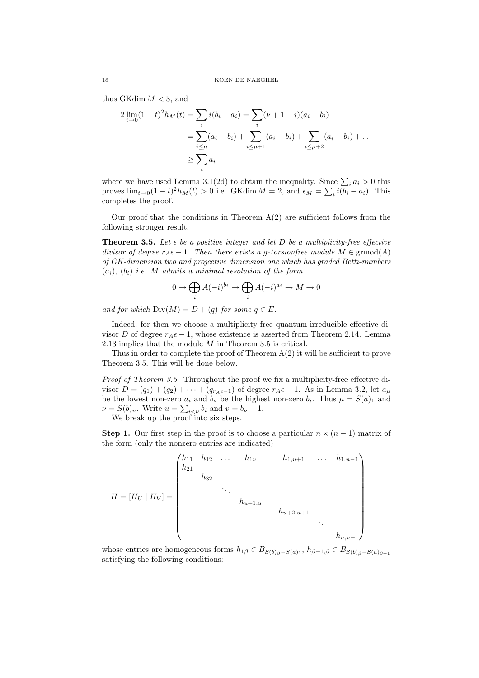thus GKdim  $M < 3$ , and

$$
2 \lim_{t \to 0} (1-t)^2 h_M(t) = \sum_i i(b_i - a_i) = \sum_i (\nu + 1 - i)(a_i - b_i)
$$
  
= 
$$
\sum_{i \le \mu} (a_i - b_i) + \sum_{i \le \mu + 1} (a_i - b_i) + \sum_{i \le \mu + 2} (a_i - b_i) + \dots
$$
  

$$
\ge \sum_i a_i
$$

where we have used Lemma 3.1(2d) to obtain the inequality. Since  $\sum_i a_i > 0$  this proves  $\lim_{t\to 0} (1-t)^2 h_M(t) > 0$  i.e. GKdim  $M = 2$ , and  $\epsilon_M = \sum_i i(\overline{b_i} - a_i)$ . This completes the proof.  $\Box$ 

Our proof that the conditions in Theorem  $A(2)$  are sufficient follows from the following stronger result.

**Theorem 3.5.** Let  $\epsilon$  be a positive integer and let D be a multiplicity-free effective divisor of degree  $r_A \epsilon - 1$ . Then there exists a g-torsion free module  $M \in \mathrm{grmod}(A)$ of GK-dimension two and projective dimension one which has graded Betti-numbers  $(a_i), (b_i)$  i.e. M admits a minimal resolution of the form

$$
0 \to \bigoplus_i A(-i)^{b_i} \to \bigoplus_i A(-i)^{a_i} \to M \to 0
$$

and for which  $Div(M) = D + (q)$  for some  $q \in E$ .

Indeed, for then we choose a multiplicity-free quantum-irreducible effective divisor D of degree  $r_A \epsilon - 1$ , whose existence is asserted from Theorem 2.14. Lemma 2.13 implies that the module  $M$  in Theorem 3.5 is critical.

Thus in order to complete the proof of Theorem  $A(2)$  it will be sufficient to prove Theorem 3.5. This will be done below.

Proof of Theorem 3.5. Throughout the proof we fix a multiplicity-free effective divisor  $D = (q_1) + (q_2) + \cdots + (q_{r_A\epsilon-1})$  of degree  $r_A\epsilon-1$ . As in Lemma 3.2, let  $a_\mu$ be the lowest non-zero  $a_i$  and  $b_\nu$  be the highest non-zero  $b_i$ . Thus  $\mu = S(a)_1$  and  $\nu = S(b)_n$ . Write  $u = \sum_{i \lt \nu} b_i$  and  $v = b_\nu - 1$ .

We break up the proof into six steps.

**Step 1.** Our first step in the proof is to choose a particular  $n \times (n-1)$  matrix of the form (only the nonzero entries are indicated)

$$
H = [H_U | H_V] = \begin{pmatrix} h_{11} & h_{12} & \dots & h_{1u} & & h_{1,u+1} & \dots & h_{1,n-1} \\ h_{21} & & & & & \\ & & \ddots & & & \\ & & & & h_{u+1,u} & & \\ & & & & & h_{u+2,u+1} & & \\ & & & & & & \ddots & \\ & & & & & & & h_{n,n-1} \end{pmatrix}
$$

whose entries are homogeneous forms  $h_{1\beta} \in B_{S(b)_{\beta}-S(a)_1}, h_{\beta+1,\beta} \in B_{S(b)_{\beta}-S(a)_{\beta+1}}$ satisfying the following conditions: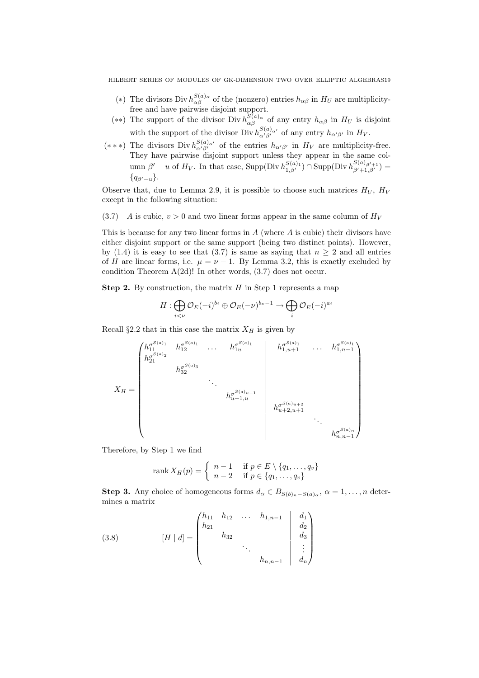- (\*) The divisors Div  $h_{\alpha\beta}^{S(a)}$  of the (nonzero) entries  $h_{\alpha\beta}$  in  $H_U$  are multiplicityfree and have pairwise disjoint support.
- (\*\*) The support of the divisor Div  $h_{\alpha\beta}^{S(a)}$  of any entry  $h_{\alpha\beta}$  in  $H_U$  is disjoint with the support of the divisor Div  $h_{\alpha'\beta'}^{S(a)_{\alpha'}}$  of any entry  $h_{\alpha'\beta'}$  in  $H_V$ .
- (\*\*\*) The divisors Div  $h_{\alpha'\beta'}^{S(a)_{\alpha'}}$  of the entries  $h_{\alpha'\beta'}$  in  $H_V$  are multiplicity-free. They have pairwise disjoint support unless they appear in the same column  $\beta' - u$  of  $H_V$ . In that case, Supp(Div  $h_{1,\beta'}^{S(a)_1}$ )  $\cap$  Supp(Div  $h_{\beta'+1,\beta'}^{S(a)_{\beta'+1}}$ ) =  ${q_{\beta'-u}}.$

Observe that, due to Lemma 2.9, it is possible to choose such matrices  $H_U$ ,  $H_V$ except in the following situation:

(3.7) A is cubic,  $v > 0$  and two linear forms appear in the same column of  $H_V$ 

This is because for any two linear forms in  $A$  (where  $A$  is cubic) their divisors have either disjoint support or the same support (being two distinct points). However, by (1.4) it is easy to see that (3.7) is same as saying that  $n \geq 2$  and all entries of H are linear forms, i.e.  $\mu = \nu - 1$ . By Lemma 3.2, this is exactly excluded by condition Theorem A(2d)! In other words, (3.7) does not occur.

**Step 2.** By construction, the matrix  $H$  in Step 1 represents a map

$$
H: \bigoplus_{i<\nu} \mathcal{O}_E(-i)^{b_i} \oplus \mathcal{O}_E(-\nu)^{b_{\nu}-1} \to \bigoplus_i \mathcal{O}_E(-i)^{a_i}
$$

Recall §2.2 that in this case the matrix  $X_H$  is given by

X<sup>H</sup> = h σ S(a)1 <sup>11</sup> h σ S(a)1 <sup>12</sup> . . . h<sup>σ</sup> S(a)1 <sup>1</sup><sup>u</sup> h σ S(a)1 <sup>1</sup>,u+1 . . . h<sup>σ</sup> S(a)1 1,n−1 h σ S(a)2 21 h σ S(a)3 32 . . . h σ S(a)u+1 u+1,u h σ S(a)u+2 u+2,u+1 . . . h σ S(a)n n,n−1 

Therefore, by Step 1 we find

$$
\operatorname{rank} X_H(p) = \begin{cases} n-1 & \text{if } p \in E \setminus \{q_1, \ldots, q_v\} \\ n-2 & \text{if } p \in \{q_1, \ldots, q_v\} \end{cases}
$$

**Step 3.** Any choice of homogeneous forms  $d_{\alpha} \in B_{S(b)_n - S(a)_\alpha}, \alpha = 1, \ldots, n$  determines a matrix

(3.8) 
$$
[H \mid d] = \begin{pmatrix} h_{11} & h_{12} & \dots & h_{1,n-1} & d_1 \\ h_{21} & & & & \\ & h_{32} & & & \\ & & \ddots & & \\ & & & h_{n,n-1} & d_n \end{pmatrix}
$$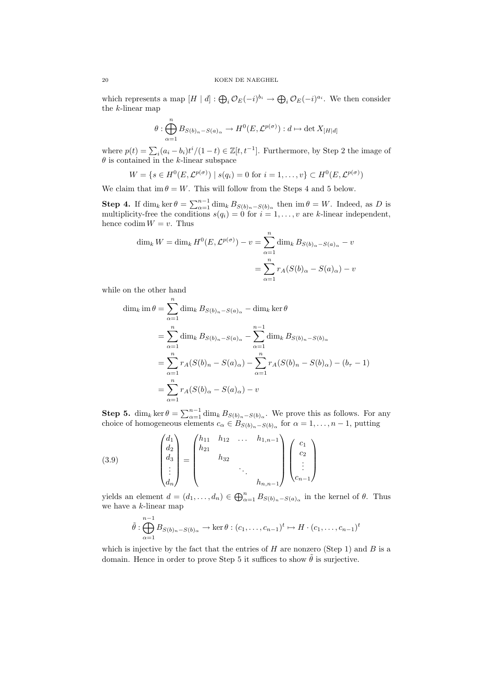which represents a map  $[H \mid d] : \bigoplus_i \mathcal{O}_E(-i)^{b_i} \to \bigoplus_i \mathcal{O}_E(-i)^{a_i}$ . We then consider the k-linear map

$$
\theta: \bigoplus_{\alpha=1}^n B_{S(b)_n-S(a)_\alpha} \to H^0(E, \mathcal{L}^{p(\sigma)}) : d \mapsto \det X_{[H|d]}
$$

where  $p(t) = \sum_i (a_i - b_i)t^i/(1-t) \in \mathbb{Z}[t, t^{-1}]$ . Furthermore, by Step 2 the image of  $\theta$  is contained in the k-linear subspace

$$
W = \{ s \in H^0(E, \mathcal{L}^{p(\sigma)}) \mid s(q_i) = 0 \text{ for } i = 1, ..., v \} \subset H^0(E, \mathcal{L}^{p(\sigma)})
$$

We claim that im  $\theta = W$ . This will follow from the Steps 4 and 5 below.

**Step 4.** If  $\dim_k \ker \theta = \sum_{\alpha=1}^{n-1} \dim_k B_{S(b)_n - S(b)_\alpha}$  then  $\imath \in W$ . Indeed, as D is multiplicity-free the conditions  $s(q_i) = 0$  for  $i = 1, ..., v$  are k-linear independent, hence codim  $W = v$ . Thus

$$
\dim_k W = \dim_k H^0(E, \mathcal{L}^{p(\sigma)}) - v = \sum_{\alpha=1}^n \dim_k B_{S(b)\alpha - S(a)\alpha} - v
$$

$$
= \sum_{\alpha=1}^n r_A(S(b)\alpha - S(a)\alpha) - v
$$

while on the other hand

$$
\dim_k \text{ im } \theta = \sum_{\alpha=1}^n \dim_k B_{S(b)_n - S(a)_\alpha} - \dim_k \ker \theta
$$
  
= 
$$
\sum_{\alpha=1}^n \dim_k B_{S(b)_n - S(a)_\alpha} - \sum_{\alpha=1}^{n-1} \dim_k B_{S(b)_n - S(b)_\alpha}
$$
  
= 
$$
\sum_{\alpha=1}^n r_A(S(b)_n - S(a)_\alpha) - \sum_{\alpha=1}^n r_A(S(b)_n - S(b)_\alpha) - (b_\tau - 1)
$$
  
= 
$$
\sum_{\alpha=1}^n r_A(S(b)_\alpha - S(a)_\alpha) - v
$$

**Step 5.** dim<sub>k</sub> ker  $\theta = \sum_{\alpha=1}^{n-1} \dim_k B_{S(b)_n - S(b)_\alpha}$ . We prove this as follows. For any choice of homogeneous elements  $c_{\alpha} \in B_{S(b)_n - S(b)_\alpha}$  for  $\alpha = 1, \ldots, n - 1$ , putting

(3.9) 
$$
\begin{pmatrix} d_1 \\ d_2 \\ d_3 \\ \vdots \\ d_n \end{pmatrix} = \begin{pmatrix} h_{11} & h_{12} & \dots & h_{1,n-1} \\ h_{21} & & & \\ & h_{32} & & \\ & & \ddots & \\ & & & h_{n,n-1} \end{pmatrix} \begin{pmatrix} c_1 \\ c_2 \\ \vdots \\ c_{n-1} \end{pmatrix}
$$

yields an element  $d = (d_1, \ldots, d_n) \in \bigoplus_{\alpha=1}^n B_{S(b)_n - S(a)_\alpha}$  in the kernel of  $\theta$ . Thus we have a k-linear map

$$
\tilde{\theta} : \bigoplus_{\alpha=1}^{n-1} B_{S(b)_n - S(b)_\alpha} \to \ker \theta : (c_1, \dots, c_{n-1})^t \mapsto H \cdot (c_1, \dots, c_{n-1})^t
$$

which is injective by the fact that the entries of  $H$  are nonzero (Step 1) and  $B$  is a domain. Hence in order to prove Step 5 it suffices to show  $\tilde{\theta}$  is surjective.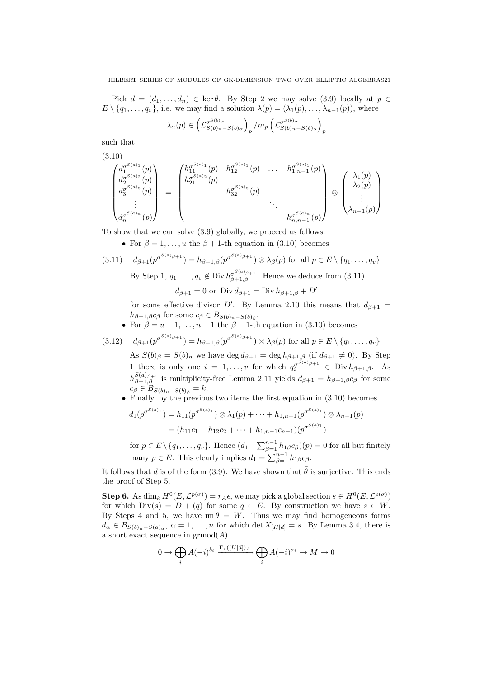Pick  $d = (d_1, \ldots, d_n) \in \text{ker } \theta$ . By Step 2 we may solve (3.9) locally at  $p \in$  $E \setminus \{q_1, \ldots, q_v\}$ , i.e. we may find a solution  $\lambda(p) = (\lambda_1(p), \ldots, \lambda_{n-1}(p))$ , where

$$
\lambda_{\alpha}(p) \in \left(\mathcal{L}_{S(b)_n-S(b)_\alpha}^{\sigma^{S(b)_\alpha}}\right)_p / m_p \left(\mathcal{L}_{S(b)_n-S(b)_\alpha}^{\sigma^{S(b)_\alpha}}\right)_p
$$

such that

$$
\begin{pmatrix}\n(3.10) \\
d_1^{\sigma^{S(a)}(1)}(p) \\
d_2^{\sigma^{S(a)}(2)}(p) \\
d_3^{\sigma^{S(a)}(n)}(p) \\
\vdots \\
d_n^{\sigma^{S(a)}(n)}(p)\n\end{pmatrix} = \begin{pmatrix}\nh_{11}^{\sigma^{S(a)}(1)}(p) & h_{12}^{\sigma^{S(a)}(1)}(p) & \dots & h_{1,n-1}^{\sigma^{S(a)}(1)}(p) \\
h_{21}^{\sigma^{S(a)}(2)}(p) & & & \\
& \ddots & & \\
& & \ddots & \\
& & & h_{n,n-1}^{\sigma^{S(a)}(n)}(p)\n\end{pmatrix} \otimes \begin{pmatrix}\n\lambda_1(p) \\
\lambda_2(p) \\
\vdots \\
\lambda_{n-1}(p)\n\end{pmatrix}
$$

To show that we can solve (3.9) globally, we proceed as follows.

• For  $\beta = 1, \ldots, u$  the  $\beta + 1$ -th equation in (3.10) becomes

(3.11) 
$$
d_{\beta+1}(p^{\sigma^{S(a)}\beta+1}) = h_{\beta+1,\beta}(p^{\sigma^{S(a)}\beta+1}) \otimes \lambda_{\beta}(p) \text{ for all } p \in E \setminus \{q_1, \ldots, q_v\}
$$
  
By Step 1,  $q_1, \ldots, q_v \notin \text{Div } h^{\sigma^{S(a)}\beta+1}$  Hence we deduce from (3.11).

By Step 1,  $q_1, \ldots, q_v \notin \text{Div } h_{\beta+1,\beta}^{\sigma^{S(a)}_{\beta+1}}$ . Hence we deduce from  $(3.11)$ 

 $d_{\beta+1} = 0$  or Div  $d_{\beta+1} = \text{Div } h_{\beta+1,\beta} + D'$ 

for some effective divisor D'. By Lemma 2.10 this means that  $d_{\beta+1} =$  $h_{\beta+1,\beta}c_{\beta}$  for some  $c_{\beta} \in B_{S(b)_n - S(b)_\beta}$ .

• For  $\beta = u + 1, \ldots, n - 1$  the  $\beta + 1$ -th equation in (3.10) becomes

$$
(3.12) \quad d_{\beta+1}(p^{\sigma^{S(a)_{\beta+1}}}) = h_{\beta+1,\beta}(p^{\sigma^{S(a)_{\beta+1}}}) \otimes \lambda_{\beta}(p) \text{ for all } p \in E \setminus \{q_1,\ldots,q_v\}
$$

As  $S(b)_{\beta} = S(b)_n$  we have  $\deg d_{\beta+1} = \deg h_{\beta+1,\beta}$  (if  $d_{\beta+1} \neq 0$ ). By Step 1 there is only one  $i = 1, ..., v$  for which  $q_i^{\sigma^{S(a)}\beta+1} \in Div h_{\beta+1,\beta}$ . As  $h_{\beta+1,\beta}^{S(a)_{\beta+1}}$  is multiplicity-free Lemma 2.11 yields  $d_{\beta+1} = h_{\beta+1,\beta}c_{\beta}$  for some  $c_{\beta} \in B_{S(b)_n - S(b)_\beta} = k.$ 

• Finally, by the previous two items the first equation in (3.10) becomes

$$
d_1(p^{\sigma^{S(a)_1}}) = h_{11}(p^{\sigma^{S(a)_1}}) \otimes \lambda_1(p) + \dots + h_{1,n-1}(p^{\sigma^{S(a)_1}}) \otimes \lambda_{n-1}(p)
$$
  
=  $(h_{11}c_1 + h_{12}c_2 + \dots + h_{1,n-1}c_{n-1})(p^{\sigma^{S(a)_1}})$ 

for  $p \in E \setminus \{q_1, \ldots, q_v\}$ . Hence  $(d_1 - \sum_{\beta=1}^{n-1} h_{1\beta} c_{\beta})(p) = 0$  for all but finitely many  $p \in E$ . This clearly implies  $d_1 = \sum_{\beta=1}^{n-1} h_{1\beta} c_{\beta}$ .

It follows that d is of the form (3.9). We have shown that  $\tilde{\theta}$  is surjective. This ends the proof of Step 5.

**Step 6.** As dim<sub>k</sub>  $H^0(E, \mathcal{L}^{p(\sigma)}) = r_A \epsilon$ , we may pick a global section  $s \in H^0(E, \mathcal{L}^{p(\sigma)})$ for which  $Div(s) = D + (q)$  for some  $q \in E$ . By construction we have  $s \in W$ . By Steps 4 and 5, we have  $\text{im}\,\theta = W$ . Thus we may find homogeneous forms  $d_{\alpha} \in B_{S(b)_n - S(a)_{\alpha}}, \ \alpha = 1, \ldots, n$  for which det  $X_{[H|d]} = s$ . By Lemma 3.4, there is a short exact sequence in  $\mathrm{grmod}(A)$ 

$$
0 \to \bigoplus_i A(-i)^{b_i} \xrightarrow{\Gamma_*([H[d])_A} \bigoplus_i A(-i)^{a_i} \to M \to 0
$$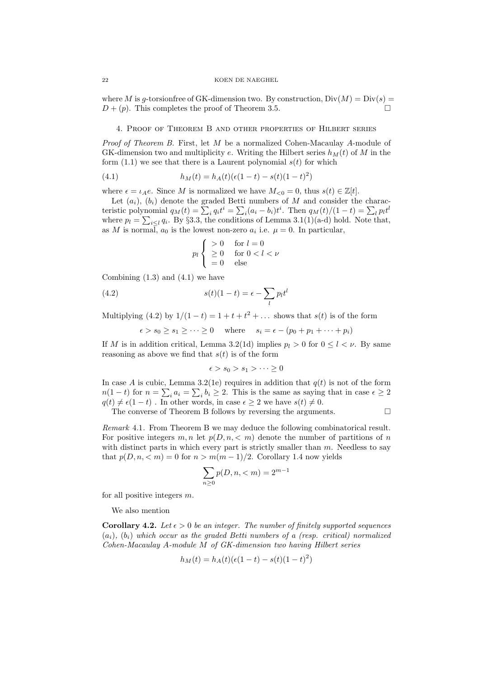where M is g-torsionfree of GK-dimension two. By construction,  $Div(M) = Div(s)$  $D + (p)$ . This completes the proof of Theorem 3.5.

4. Proof of Theorem B and other properties of Hilbert series

Proof of Theorem B. First, let M be a normalized Cohen-Macaulay A-module of GK-dimension two and multiplicity e. Writing the Hilbert series  $h<sub>M</sub>(t)$  of M in the form  $(1.1)$  we see that there is a Laurent polynomial  $s(t)$  for which

(4.1) 
$$
h_M(t) = h_A(t)(\epsilon(1-t) - s(t)(1-t)^2)
$$

where  $\epsilon = \iota_A e$ . Since M is normalized we have  $M_{\leq 0} = 0$ , thus  $s(t) \in \mathbb{Z}[t]$ .

Let  $(a_i)$ ,  $(b_i)$  denote the graded Betti numbers of M and consider the characteristic polynomial  $q_M(t) = \sum_i q_i t^i = \sum_i (a_i - b_i)t^i$ . Then  $q_M(t)/(1-t) = \sum_i p_i t^i$ where  $p_l = \sum_{i \leq l} q_i$ . By §3.3, the conditions of Lemma 3.1(1)(a-d) hold. Note that, as M is normal,  $a_0$  is the lowest non-zero  $a_i$  i.e.  $\mu = 0$ . In particular,

$$
p_l \begin{cases} > 0 & \text{for } l = 0 \\ & \geq 0 & \text{for } 0 < l < \nu \\ & = 0 & \text{else} \end{cases}
$$

Combining  $(1.3)$  and  $(4.1)$  we have

(4.2) 
$$
s(t)(1-t) = \epsilon - \sum_{l} p_l t^l
$$

Multiplying (4.2) by  $1/(1-t) = 1 + t + t^2 + \dots$  shows that  $s(t)$  is of the form

 $\epsilon > s_0 \geq s_1 \geq \cdots \geq 0$  where  $s_i = \epsilon - (p_0 + p_1 + \cdots + p_i)$ 

If M is in addition critical, Lemma 3.2(1d) implies  $p_l > 0$  for  $0 \le l \le \nu$ . By same reasoning as above we find that  $s(t)$  is of the form

$$
\epsilon > s_0 > s_1 > \cdots \ge 0
$$

In case A is cubic, Lemma 3.2(1e) requires in addition that  $q(t)$  is not of the form  $n(1-t)$  for  $n = \sum_i a_i = \sum_i b_i \ge 2$ . This is the same as saying that in case  $\epsilon \ge 2$  $q(t) \neq \epsilon(1-t)$ . In other words, in case  $\epsilon \geq 2$  we have  $s(t) \neq 0$ .

The converse of Theorem B follows by reversing the arguments.  $\Box$ 

Remark 4.1. From Theorem B we may deduce the following combinatorical result. For positive integers  $m, n$  let  $p(D, n, < m)$  denote the number of partitions of n with distinct parts in which every part is strictly smaller than  $m$ . Needless to say that  $p(D, n, < m) = 0$  for  $n > m(m-1)/2$ . Corollary 1.4 now yields

$$
\sum_{n\geq 0} p(D, n, < m) = 2^{m-1}
$$

for all positive integers m.

We also mention

**Corollary 4.2.** Let  $\epsilon > 0$  be an integer. The number of finitely supported sequences  $(a_i)$ ,  $(b_i)$  which occur as the graded Betti numbers of a (resp. critical) normalized Cohen-Macaulay A-module M of GK-dimension two having Hilbert series

$$
h_M(t) = h_A(t)(\epsilon(1-t) - s(t)(1-t)^2)
$$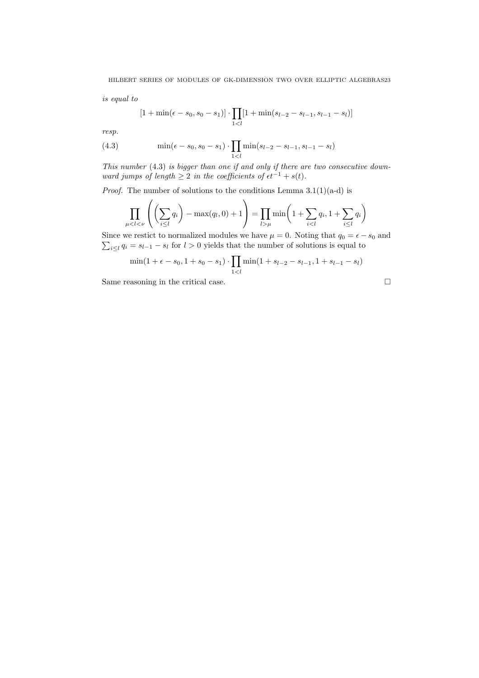is equal to

$$
[1 + \min(\epsilon - s_0, s_0 - s_1)] \cdot \prod_{1 < l} [1 + \min(s_{l-2} - s_{l-1}, s_{l-1} - s_l)]
$$

resp.

(4.3) 
$$
\min(\epsilon - s_0, s_0 - s_1) \cdot \prod_{1 < l} \min(s_{l-2} - s_{l-1}, s_{l-1} - s_l)
$$

This number (4.3) is bigger than one if and only if there are two consecutive downward jumps of length  $\geq 2$  in the coefficients of  $\epsilon t^{-1} + s(t)$ .

*Proof.* The number of solutions to the conditions Lemma  $3.1(1)(a-d)$  is

$$
\prod_{\mu < l < \nu} \left( \left( \sum_{i \le l} q_i \right) - \max(q_l, 0) + 1 \right) = \prod_{l > \mu} \min \left( 1 + \sum_{i < l} q_i, 1 + \sum_{i \le l} q_i \right)
$$

 $\sum_{i\leq l} q_i = s_{l-1} - s_l$  for  $l > 0$  yields that the number of solutions is equal to Since we restict to normalized modules we have  $\mu = 0$ . Noting that  $q_0 = \epsilon - s_0$  and

$$
\min(1 + \epsilon - s_0, 1 + s_0 - s_1) \cdot \prod_{1 < l} \min(1 + s_{l-2} - s_{l-1}, 1 + s_{l-1} - s_l)
$$

Same reasoning in the critical case.

$$
\sqcup
$$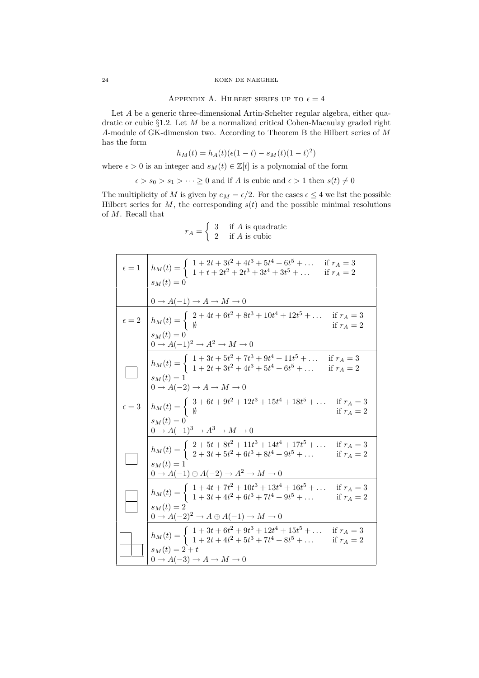### 24 KOEN DE NAEGHEL

# APPENDIX A. HILBERT SERIES UP TO  $\epsilon = 4$

Let A be a generic three-dimensional Artin-Schelter regular algebra, either quadratic or cubic  $\S1.2$ . Let M be a normalized critical Cohen-Macaulay graded right A-module of GK-dimension two. According to Theorem B the Hilbert series of M has the form

$$
h_M(t) = h_A(t)(\epsilon(1-t) - s_M(t)(1-t)^2)
$$

where  $\epsilon > 0$  is an integer and  $s_M(t) \in \mathbb{Z}[t]$  is a polynomial of the form

 $\epsilon > s_0 > s_1 > \cdots \ge 0$  and if A is cubic and  $\epsilon > 1$  then  $s(t) \neq 0$ 

The multiplicity of M is given by  $e_M = \epsilon/2$ . For the cases  $\epsilon \leq 4$  we list the possible Hilbert series for  $M$ , the corresponding  $s(t)$  and the possible minimal resolutions of M. Recall that

$$
r_A = \begin{cases} 3 & \text{if } A \text{ is quadratic} \\ 2 & \text{if } A \text{ is cubic} \end{cases}
$$

|              | $\epsilon = 1$ $h_M(t) = \begin{cases} 1 + 2t + 3t^2 + 4t^3 + 5t^4 + 6t^5 + \dots & \text{if } r_A = 3 \\ 1 + t + 2t^2 + 2t^3 + 3t^4 + 3t^5 + \dots & \text{if } r_A = 2 \end{cases}$ |
|--------------|---------------------------------------------------------------------------------------------------------------------------------------------------------------------------------------|
|              | $s_M(t)=0$                                                                                                                                                                            |
|              | $0 \to A(-1) \to A \to M \to 0$                                                                                                                                                       |
|              | $\epsilon = 2$ $h_M(t) = \begin{cases} 2 + 4t + 6t^2 + 8t^3 + 10t^4 + 12t^5 + \dots & \text{if } r_A = 3 \\ \emptyset & \end{cases}$                                                  |
|              | $s_M(t)=0$<br>$0 \rightarrow A(-1)^2 \rightarrow A^2 \rightarrow M \rightarrow 0$                                                                                                     |
|              | $h_M(t) = \left\{ \begin{array}{ll} 1+3t+5t^2+7t^3+9t^4+11t^5+\dots & \text{if } r_A = 3 \\ 1+2t+3t^2+4t^3+5t^4+6t^5+\dots & \text{if } r_A = 2 \end{array} \right.$<br>$s_M(t) = 1$  |
|              | $0 \to A(-2) \to A \to M \to 0$                                                                                                                                                       |
| $\epsilon=3$ | $h_M(t) = \begin{cases} 3 + 6t + 9t^2 + 12t^3 + 15t^4 + 18t^5 + \dots & \text{if } r_A = 3 \\ \emptyset & \end{cases}$                                                                |
|              | $s_M(t)=0$<br>$0 \rightarrow A(-1)^3 \rightarrow A^3 \rightarrow M \rightarrow 0$                                                                                                     |
|              | $h_M(t) = \begin{cases} 2 + 5t + 8t^2 + 11t^3 + 14t^4 + 17t^5 + \dots \\ 2 + 3t + 5t^2 + 6t^3 + 8t^4 + 9t^5 + \dots \end{cases}$<br>if $r_A = 3$<br>if $r_A = 2$                      |
|              | $s_M(t) = 1$<br>$0 \rightarrow A(-1) \oplus A(-2) \rightarrow A^2 \rightarrow M \rightarrow 0$                                                                                        |
|              | $h_M(t) = \begin{cases} 1 + 4t + 7t^2 + 10t^3 + 13t^4 + 16t^5 + \dots & \text{if } r_A = 3\\ 1 + 3t + 4t^2 + 6t^3 + 7t^4 + 9t^5 + \dots & \text{if } r_A = 2 \end{cases}$             |
|              | $s_M(t) = 2$<br>$0 \rightarrow A(-2)^2 \rightarrow A \oplus A(-1) \rightarrow M \rightarrow 0$                                                                                        |
|              | $h_M(t) = \begin{cases} 1 + 3t + 6t^2 + 9t^3 + 12t^4 + 15t^5 + \dots & \text{if } r_A = 3 \\ 1 + 2t + 4t^2 + 5t^3 + 7t^4 + 8t^5 + \dots & \text{if } r_A = 2 \end{cases}$             |
|              | $s_M(t) = 2 + t$<br>$0 \rightarrow A(-3) \rightarrow A \rightarrow M \rightarrow 0$                                                                                                   |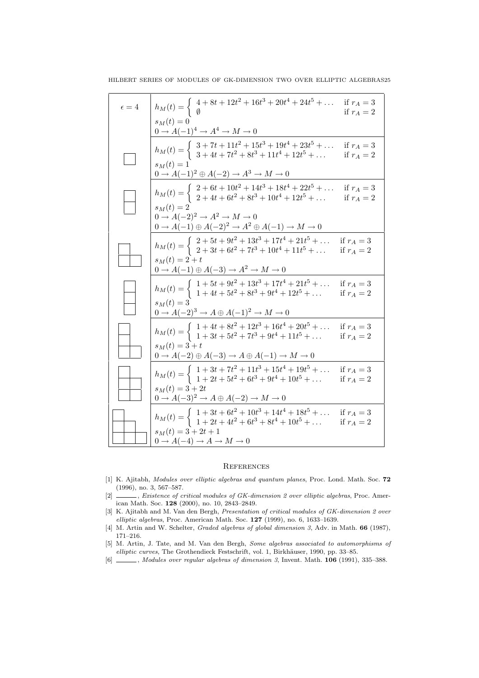| $\epsilon = 4$ | $h_M(t) = \begin{cases} 4 + 8t + 12t^2 + 16t^3 + 20t^4 + 24t^5 + \dots \\ \emptyset \end{cases}$                                                                                     | if $r_A=3$<br>if $r_A = 2$   |
|----------------|--------------------------------------------------------------------------------------------------------------------------------------------------------------------------------------|------------------------------|
|                | $s_M(t) = 0$<br>$0 \rightarrow A(-1)^4 \rightarrow A^4 \rightarrow M \rightarrow 0$                                                                                                  |                              |
|                | $h_M(t) = \begin{cases} 3+7t+11t^2+15t^3+19t^4+23t^5+\dots & \text{if } r_A = 3\\ 3+4t+7t^2+8t^3+11t^4+12t^5+\dots & \text{if } r_A = 2 \end{cases}$<br>$s_M(t) = 1$                 |                              |
|                | $0 \to A(-1)^2 \oplus A(-2) \to A^3 \to M \to 0$                                                                                                                                     |                              |
|                | $h_M(t) = \begin{cases} 2 + 6t + 10t^2 + 14t^3 + 18t^4 + 22t^5 + \dots \\ 2 + 4t + 6t^2 + 8t^3 + 10t^4 + 12t^5 + \dots \end{cases}$                                                  | if $r_A = 3$<br>if $r_A = 2$ |
|                | $s_M(t) = 2$<br>$0 \rightarrow A(-2)^2 \rightarrow A^2 \rightarrow M \rightarrow 0$<br>$0 \rightarrow A(-1) \oplus A(-2)^2 \rightarrow A^2 \oplus A(-1) \rightarrow M \rightarrow 0$ |                              |
|                | $h_M(t) = \begin{cases} 2 + 5t + 9t^2 + 13t^3 + 17t^4 + 21t^5 + \dots & \text{if } r_A = 3\\ 2 + 3t + 6t^2 + 7t^3 + 10t^4 + 11t^5 + \dots & \text{if } r_A = 2 \end{cases}$          |                              |
|                | $s_M(t) = 2 + t$<br>$0 \rightarrow A(-1) \oplus A(-3) \rightarrow A^2 \rightarrow M \rightarrow 0$                                                                                   |                              |
|                | $h_M(t) = \begin{cases} 1 + 5t + 9t^2 + 13t^3 + 17t^4 + 21t^5 + \dots & \text{if } r_A = 3\\ 1 + 4t + 5t^2 + 8t^3 + 9t^4 + 12t^5 + \dots & \text{if } r_A = 2 \end{cases}$           |                              |
|                | $s_M(t) = 3$<br>$0 \to A(-2)^3 \to A \oplus A(-1)^2 \to M \to 0$                                                                                                                     |                              |
|                | $h_M(t) = \begin{cases} 1 + 4t + 8t^2 + 12t^3 + 16t^4 + 20t^5 + \dots & \text{if } r_A = 3\\ 1 + 3t + 5t^2 + 7t^3 + 9t^4 + 11t^5 + \dots & \text{if } r_A = 2 \end{cases}$           |                              |
|                | $s_M(t) = 3 + t$<br>$0 \rightarrow A(-2) \oplus A(-3) \rightarrow A \oplus A(-1) \rightarrow M \rightarrow 0$                                                                        |                              |
|                | $h_M(t) = \begin{cases} 1 + 3t + 7t^2 + 11t^3 + 15t^4 + 19t^5 + \dots \\ 1 + 2t + 5t^2 + 6t^3 + 9t^4 + 10t^5 + \dots \end{cases}$                                                    | if $r_A = 3$<br>if $r_A = 2$ |
|                | $s_M(t) = 3 + 2t$<br>$0 \rightarrow A(-3)^2 \rightarrow A \oplus A(-2) \rightarrow M \rightarrow 0$                                                                                  |                              |
|                | $h_M(t) = \begin{cases} 1 + 3t + 6t^2 + 10t^3 + 14t^4 + 18t^5 + \dots & \text{if } r_A = 3\\ 1 + 2t + 4t^2 + 6t^3 + 8t^4 + 10t^5 + \dots & \text{if } r_A = 2 \end{cases}$           |                              |
|                | $s_M(t) = 3 + 2t + 1$<br>$0 \to A(-4) \to A \to M \to 0$                                                                                                                             |                              |

### **REFERENCES**

- [1] K. Ajitabh, Modules over elliptic algebras and quantum planes, Proc. Lond. Math. Soc. 72 (1996), no. 3, 567–587.
- [2] , Existence of critical modules of GK-dimension 2 over elliptic algebras, Proc. American Math. Soc. 128 (2000), no. 10, 2843–2849.
- [3] K. Ajitabh and M. Van den Bergh, Presentation of critical modules of GK-dimension 2 over elliptic algebras, Proc. American Math. Soc. 127 (1999), no. 6, 1633–1639.
- [4] M. Artin and W. Schelter, Graded algebras of global dimension 3, Adv. in Math. 66 (1987), 171–216.
- [5] M. Artin, J. Tate, and M. Van den Bergh, Some algebras associated to automorphisms of  $elliptic curves$ , The Grothendieck Festschrift, vol. 1, Birkhäuser, 1990, pp. 33–85.
- $[6]$   $\_\_\_\_\$ , Modules over regular algebras of dimension 3, Invent. Math. 106 (1991), 335-388.